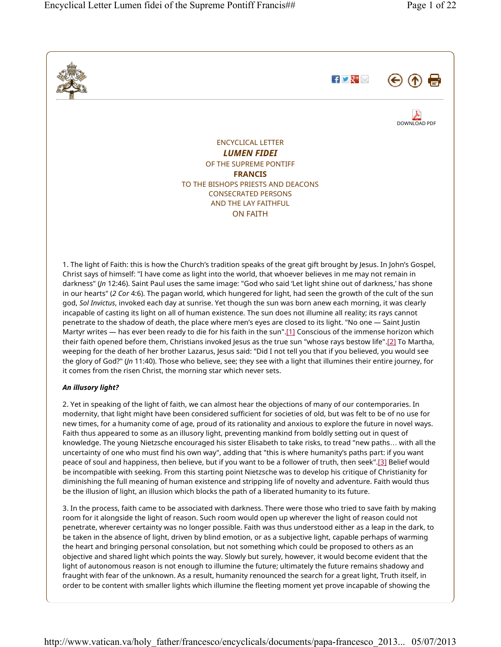

knowledge. The young Nietzsche encouraged his sister Elisabeth to take risks, to tread "new paths… with all the uncertainty of one who must find his own way", adding that "this is where humanity's paths part: if you want peace of soul and happiness, then believe, but if you want to be a follower of truth, then seek".[3] Belief would be incompatible with seeking. From this starting point Nietzsche was to develop his critique of Christianity for diminishing the full meaning of human existence and stripping life of novelty and adventure. Faith would thus be the illusion of light, an illusion which blocks the path of a liberated humanity to its future.

3. In the process, faith came to be associated with darkness. There were those who tried to save faith by making room for it alongside the light of reason. Such room would open up wherever the light of reason could not penetrate, wherever certainty was no longer possible. Faith was thus understood either as a leap in the dark, to be taken in the absence of light, driven by blind emotion, or as a subjective light, capable perhaps of warming the heart and bringing personal consolation, but not something which could be proposed to others as an objective and shared light which points the way. Slowly but surely, however, it would become evident that the light of autonomous reason is not enough to illumine the future; ultimately the future remains shadowy and fraught with fear of the unknown. As a result, humanity renounced the search for a great light, Truth itself, in order to be content with smaller lights which illumine the fleeting moment yet prove incapable of showing the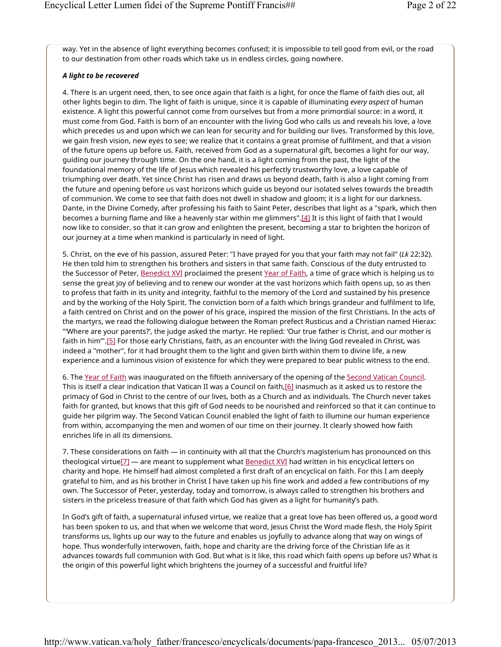way. Yet in the absence of light everything becomes confused; it is impossible to tell good from evil, or the road to our destination from other roads which take us in endless circles, going nowhere.

# A light to be recovered

4. There is an urgent need, then, to see once again that faith is a light, for once the flame of faith dies out, all other lights begin to dim. The light of faith is unique, since it is capable of illuminating every aspect of human existence. A light this powerful cannot come from ourselves but from a more primordial source: in a word, it must come from God. Faith is born of an encounter with the living God who calls us and reveals his love, a love which precedes us and upon which we can lean for security and for building our lives. Transformed by this love, we gain fresh vision, new eyes to see; we realize that it contains a great promise of fulfilment, and that a vision of the future opens up before us. Faith, received from God as a supernatural gift, becomes a light for our way, guiding our journey through time. On the one hand, it is a light coming from the past, the light of the foundational memory of the life of Jesus which revealed his perfectly trustworthy love, a love capable of triumphing over death. Yet since Christ has risen and draws us beyond death, faith is also a light coming from the future and opening before us vast horizons which guide us beyond our isolated selves towards the breadth of communion. We come to see that faith does not dwell in shadow and gloom; it is a light for our darkness. Dante, in the Divine Comedy, after professing his faith to Saint Peter, describes that light as a "spark, which then becomes a burning flame and like a heavenly star within me glimmers".[4] It is this light of faith that I would now like to consider, so that it can grow and enlighten the present, becoming a star to brighten the horizon of our journey at a time when mankind is particularly in need of light.

5. Christ, on the eve of his passion, assured Peter: "I have prayed for you that your faith may not fail" (Lk 22:32). He then told him to strengthen his brothers and sisters in that same faith. Conscious of the duty entrusted to the Successor of Peter, Benedict XVI proclaimed the present Year of Faith, a time of grace which is helping us to sense the great joy of believing and to renew our wonder at the vast horizons which faith opens up, so as then to profess that faith in its unity and integrity, faithful to the memory of the Lord and sustained by his presence and by the working of the Holy Spirit. The conviction born of a faith which brings grandeur and fulfilment to life, a faith centred on Christ and on the power of his grace, inspired the mission of the first Christians. In the acts of the martyrs, we read the following dialogue between the Roman prefect Rusticus and a Christian named Hierax: "'Where are your parents?', the judge asked the martyr. He replied: 'Our true father is Christ, and our mother is faith in him'".[5] For those early Christians, faith, as an encounter with the living God revealed in Christ, was indeed a "mother", for it had brought them to the light and given birth within them to divine life, a new experience and a luminous vision of existence for which they were prepared to bear public witness to the end.

6. The Year of Faith was inaugurated on the fiftieth anniversary of the opening of the Second Vatican Council. This is itself a clear indication that Vatican II was a Council on faith,[6] inasmuch as it asked us to restore the primacy of God in Christ to the centre of our lives, both as a Church and as individuals. The Church never takes faith for granted, but knows that this gift of God needs to be nourished and reinforced so that it can continue to guide her pilgrim way. The Second Vatican Council enabled the light of faith to illumine our human experience from within, accompanying the men and women of our time on their journey. It clearly showed how faith enriches life in all its dimensions.

7. These considerations on faith — in continuity with all that the Church's magisterium has pronounced on this theological virtue<sup>[7]</sup> — are meant to supplement what **Benedict XVI** had written in his encyclical letters on charity and hope. He himself had almost completed a first draft of an encyclical on faith. For this I am deeply grateful to him, and as his brother in Christ I have taken up his fine work and added a few contributions of my own. The Successor of Peter, yesterday, today and tomorrow, is always called to strengthen his brothers and sisters in the priceless treasure of that faith which God has given as a light for humanity's path.

In God's gift of faith, a supernatural infused virtue, we realize that a great love has been offered us, a good word has been spoken to us, and that when we welcome that word, Jesus Christ the Word made flesh, the Holy Spirit transforms us, lights up our way to the future and enables us joyfully to advance along that way on wings of hope. Thus wonderfully interwoven, faith, hope and charity are the driving force of the Christian life as it advances towards full communion with God. But what is it like, this road which faith opens up before us? What is the origin of this powerful light which brightens the journey of a successful and fruitful life?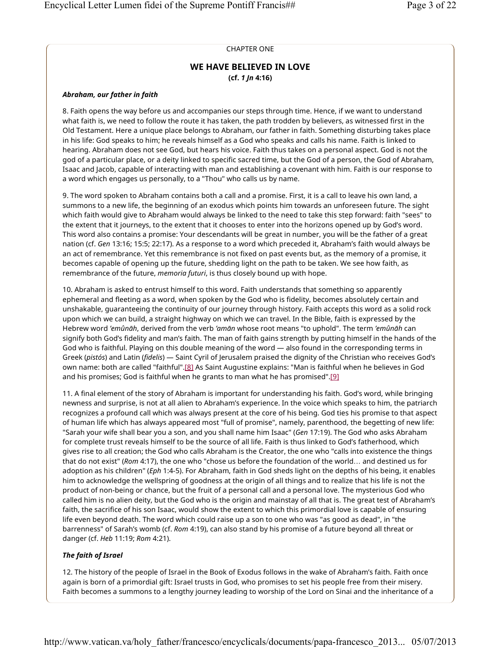# CHAPTER ONE

# WE HAVE BELIEVED IN LOVE (cf. 1 Jn 4:16)

## Abraham, our father in faith

8. Faith opens the way before us and accompanies our steps through time. Hence, if we want to understand what faith is, we need to follow the route it has taken, the path trodden by believers, as witnessed first in the Old Testament. Here a unique place belongs to Abraham, our father in faith. Something disturbing takes place in his life: God speaks to him; he reveals himself as a God who speaks and calls his name. Faith is linked to hearing. Abraham does not see God, but hears his voice. Faith thus takes on a personal aspect. God is not the god of a particular place, or a deity linked to specific sacred time, but the God of a person, the God of Abraham, Isaac and Jacob, capable of interacting with man and establishing a covenant with him. Faith is our response to a word which engages us personally, to a "Thou" who calls us by name.

9. The word spoken to Abraham contains both a call and a promise. First, it is a call to leave his own land, a summons to a new life, the beginning of an exodus which points him towards an unforeseen future. The sight which faith would give to Abraham would always be linked to the need to take this step forward: faith "sees" to the extent that it journeys, to the extent that it chooses to enter into the horizons opened up by God's word. This word also contains a promise: Your descendants will be great in number, you will be the father of a great nation (cf. Gen 13:16; 15:5; 22:17). As a response to a word which preceded it, Abraham's faith would always be an act of remembrance. Yet this remembrance is not fixed on past events but, as the memory of a promise, it becomes capable of opening up the future, shedding light on the path to be taken. We see how faith, as remembrance of the future, memoria futuri, is thus closely bound up with hope.

10. Abraham is asked to entrust himself to this word. Faith understands that something so apparently ephemeral and fleeting as a word, when spoken by the God who is fidelity, becomes absolutely certain and unshakable, guaranteeing the continuity of our journey through history. Faith accepts this word as a solid rock upon which we can build, a straight highway on which we can travel. In the Bible, faith is expressed by the Hebrew word 'emûnāh, derived from the verb 'amān whose root means "to uphold". The term 'emûnāh can signify both God's fidelity and man's faith. The man of faith gains strength by putting himself in the hands of the God who is faithful. Playing on this double meaning of the word — also found in the corresponding terms in Greek (pistós) and Latin (fidelis) — Saint Cyril of Jerusalem praised the dignity of the Christian who receives God's own name: both are called "faithful".[8] As Saint Augustine explains: "Man is faithful when he believes in God and his promises; God is faithful when he grants to man what he has promised".[9]

11. A final element of the story of Abraham is important for understanding his faith. God's word, while bringing newness and surprise, is not at all alien to Abraham's experience. In the voice which speaks to him, the patriarch recognizes a profound call which was always present at the core of his being. God ties his promise to that aspect of human life which has always appeared most "full of promise", namely, parenthood, the begetting of new life: "Sarah your wife shall bear you a son, and you shall name him Isaac" (Gen 17:19). The God who asks Abraham for complete trust reveals himself to be the source of all life. Faith is thus linked to God's fatherhood, which gives rise to all creation; the God who calls Abraham is the Creator, the one who "calls into existence the things that do not exist" (Rom 4:17), the one who "chose us before the foundation of the world… and destined us for adoption as his children" (Eph 1:4-5). For Abraham, faith in God sheds light on the depths of his being, it enables him to acknowledge the wellspring of goodness at the origin of all things and to realize that his life is not the product of non-being or chance, but the fruit of a personal call and a personal love. The mysterious God who called him is no alien deity, but the God who is the origin and mainstay of all that is. The great test of Abraham's faith, the sacrifice of his son Isaac, would show the extent to which this primordial love is capable of ensuring life even beyond death. The word which could raise up a son to one who was "as good as dead", in "the barrenness" of Sarah's womb (cf. Rom 4:19), can also stand by his promise of a future beyond all threat or danger (cf. Heb 11:19; Rom 4:21).

# The faith of Israel

12. The history of the people of Israel in the Book of Exodus follows in the wake of Abraham's faith. Faith once again is born of a primordial gift: Israel trusts in God, who promises to set his people free from their misery. Faith becomes a summons to a lengthy journey leading to worship of the Lord on Sinai and the inheritance of a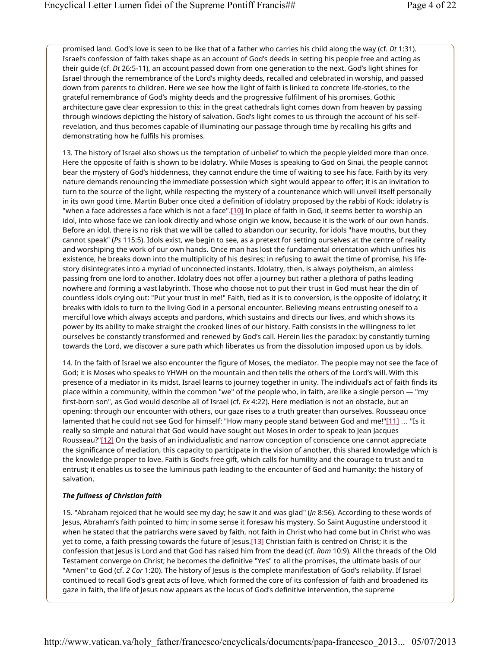promised land. God's love is seen to be like that of a father who carries his child along the way (cf. Dt 1:31). Israel's confession of faith takes shape as an account of God's deeds in setting his people free and acting as their guide (cf. Dt 26:5-11), an account passed down from one generation to the next. God's light shines for Israel through the remembrance of the Lord's mighty deeds, recalled and celebrated in worship, and passed down from parents to children. Here we see how the light of faith is linked to concrete life-stories, to the grateful remembrance of God's mighty deeds and the progressive fulfilment of his promises. Gothic architecture gave clear expression to this: in the great cathedrals light comes down from heaven by passing through windows depicting the history of salvation. God's light comes to us through the account of his selfrevelation, and thus becomes capable of illuminating our passage through time by recalling his gifts and demonstrating how he fulfils his promises.

13. The history of Israel also shows us the temptation of unbelief to which the people yielded more than once. Here the opposite of faith is shown to be idolatry. While Moses is speaking to God on Sinai, the people cannot bear the mystery of God's hiddenness, they cannot endure the time of waiting to see his face. Faith by its very nature demands renouncing the immediate possession which sight would appear to offer; it is an invitation to turn to the source of the light, while respecting the mystery of a countenance which will unveil itself personally in its own good time. Martin Buber once cited a definition of idolatry proposed by the rabbi of Kock: idolatry is "when a face addresses a face which is not a face".[10] In place of faith in God, it seems better to worship an idol, into whose face we can look directly and whose origin we know, because it is the work of our own hands. Before an idol, there is no risk that we will be called to abandon our security, for idols "have mouths, but they cannot speak" (Ps 115:5). Idols exist, we begin to see, as a pretext for setting ourselves at the centre of reality and worshiping the work of our own hands. Once man has lost the fundamental orientation which unifies his existence, he breaks down into the multiplicity of his desires; in refusing to await the time of promise, his lifestory disintegrates into a myriad of unconnected instants. Idolatry, then, is always polytheism, an aimless passing from one lord to another. Idolatry does not offer a journey but rather a plethora of paths leading nowhere and forming a vast labyrinth. Those who choose not to put their trust in God must hear the din of countless idols crying out: "Put your trust in me!" Faith, tied as it is to conversion, is the opposite of idolatry; it breaks with idols to turn to the living God in a personal encounter. Believing means entrusting oneself to a merciful love which always accepts and pardons, which sustains and directs our lives, and which shows its power by its ability to make straight the crooked lines of our history. Faith consists in the willingness to let ourselves be constantly transformed and renewed by God's call. Herein lies the paradox: by constantly turning towards the Lord, we discover a sure path which liberates us from the dissolution imposed upon us by idols.

14. In the faith of Israel we also encounter the figure of Moses, the mediator. The people may not see the face of God; it is Moses who speaks to YHWH on the mountain and then tells the others of the Lord's will. With this presence of a mediator in its midst, Israel learns to journey together in unity. The individual's act of faith finds its place within a community, within the common "we" of the people who, in faith, are like a single person — "my first-born son", as God would describe all of Israel (cf. Ex 4:22). Here mediation is not an obstacle, but an opening: through our encounter with others, our gaze rises to a truth greater than ourselves. Rousseau once lamented that he could not see God for himself: "How many people stand between God and me!"[11] … "Is it really so simple and natural that God would have sought out Moses in order to speak to Jean Jacques Rousseau?"[12] On the basis of an individualistic and narrow conception of conscience one cannot appreciate the significance of mediation, this capacity to participate in the vision of another, this shared knowledge which is the knowledge proper to love. Faith is God's free gift, which calls for humility and the courage to trust and to entrust; it enables us to see the luminous path leading to the encounter of God and humanity: the history of salvation.

## The fullness of Christian faith

15. "Abraham rejoiced that he would see my day; he saw it and was glad" (Jn 8:56). According to these words of Jesus, Abraham's faith pointed to him; in some sense it foresaw his mystery. So Saint Augustine understood it when he stated that the patriarchs were saved by faith, not faith in Christ who had come but in Christ who was yet to come, a faith pressing towards the future of Jesus.[13] Christian faith is centred on Christ; it is the confession that Jesus is Lord and that God has raised him from the dead (cf. Rom 10:9). All the threads of the Old Testament converge on Christ; he becomes the definitive "Yes" to all the promises, the ultimate basis of our "Amen" to God (cf. 2 Cor 1:20). The history of Jesus is the complete manifestation of God's reliability. If Israel continued to recall God's great acts of love, which formed the core of its confession of faith and broadened its gaze in faith, the life of Jesus now appears as the locus of God's definitive intervention, the supreme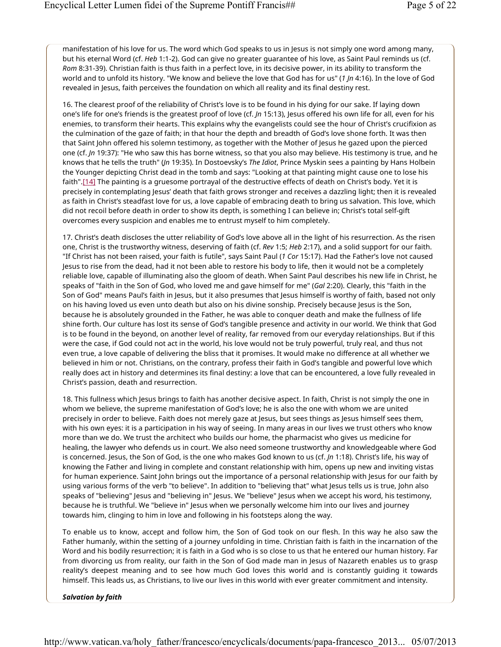manifestation of his love for us. The word which God speaks to us in Jesus is not simply one word among many, but his eternal Word (cf. Heb 1:1-2). God can give no greater guarantee of his love, as Saint Paul reminds us (cf. Rom 8:31-39). Christian faith is thus faith in a perfect love, in its decisive power, in its ability to transform the world and to unfold its history. "We know and believe the love that God has for us" (1 Jn 4:16). In the love of God revealed in Jesus, faith perceives the foundation on which all reality and its final destiny rest.

16. The clearest proof of the reliability of Christ's love is to be found in his dying for our sake. If laying down one's life for one's friends is the greatest proof of love (cf. Jn 15:13), Jesus offered his own life for all, even for his enemies, to transform their hearts. This explains why the evangelists could see the hour of Christ's crucifixion as the culmination of the gaze of faith; in that hour the depth and breadth of God's love shone forth. It was then that Saint John offered his solemn testimony, as together with the Mother of Jesus he gazed upon the pierced one (cf. *Jn* 19:37): "He who saw this has borne witness, so that you also may believe. His testimony is true, and he knows that he tells the truth" (Jn 19:35). In Dostoevsky's The Idiot, Prince Myskin sees a painting by Hans Holbein the Younger depicting Christ dead in the tomb and says: "Looking at that painting might cause one to lose his faith".[14] The painting is a gruesome portrayal of the destructive effects of death on Christ's body. Yet it is precisely in contemplating Jesus' death that faith grows stronger and receives a dazzling light; then it is revealed as faith in Christ's steadfast love for us, a love capable of embracing death to bring us salvation. This love, which did not recoil before death in order to show its depth, is something I can believe in; Christ's total self-gift overcomes every suspicion and enables me to entrust myself to him completely.

17. Christ's death discloses the utter reliability of God's love above all in the light of his resurrection. As the risen one, Christ is the trustworthy witness, deserving of faith (cf. Rev 1:5; Heb 2:17), and a solid support for our faith. "If Christ has not been raised, your faith is futile", says Saint Paul (1 Cor 15:17). Had the Father's love not caused Jesus to rise from the dead, had it not been able to restore his body to life, then it would not be a completely reliable love, capable of illuminating also the gloom of death. When Saint Paul describes his new life in Christ, he speaks of "faith in the Son of God, who loved me and gave himself for me" (Gal 2:20). Clearly, this "faith in the Son of God" means Paul's faith in Jesus, but it also presumes that Jesus himself is worthy of faith, based not only on his having loved us even unto death but also on his divine sonship. Precisely because Jesus is the Son, because he is absolutely grounded in the Father, he was able to conquer death and make the fullness of life shine forth. Our culture has lost its sense of God's tangible presence and activity in our world. We think that God is to be found in the beyond, on another level of reality, far removed from our everyday relationships. But if this were the case, if God could not act in the world, his love would not be truly powerful, truly real, and thus not even true, a love capable of delivering the bliss that it promises. It would make no difference at all whether we believed in him or not. Christians, on the contrary, profess their faith in God's tangible and powerful love which really does act in history and determines its final destiny: a love that can be encountered, a love fully revealed in Christ's passion, death and resurrection.

18. This fullness which Jesus brings to faith has another decisive aspect. In faith, Christ is not simply the one in whom we believe, the supreme manifestation of God's love; he is also the one with whom we are united precisely in order to believe. Faith does not merely gaze at Jesus, but sees things as Jesus himself sees them, with his own eyes: it is a participation in his way of seeing. In many areas in our lives we trust others who know more than we do. We trust the architect who builds our home, the pharmacist who gives us medicine for healing, the lawyer who defends us in court. We also need someone trustworthy and knowledgeable where God is concerned. Jesus, the Son of God, is the one who makes God known to us (cf. Jn 1:18). Christ's life, his way of knowing the Father and living in complete and constant relationship with him, opens up new and inviting vistas for human experience. Saint John brings out the importance of a personal relationship with Jesus for our faith by using various forms of the verb "to believe". In addition to "believing that" what Jesus tells us is true, John also speaks of "believing" Jesus and "believing in" Jesus. We "believe" Jesus when we accept his word, his testimony, because he is truthful. We "believe in" Jesus when we personally welcome him into our lives and journey towards him, clinging to him in love and following in his footsteps along the way.

To enable us to know, accept and follow him, the Son of God took on our flesh. In this way he also saw the Father humanly, within the setting of a journey unfolding in time. Christian faith is faith in the incarnation of the Word and his bodily resurrection; it is faith in a God who is so close to us that he entered our human history. Far from divorcing us from reality, our faith in the Son of God made man in Jesus of Nazareth enables us to grasp reality's deepest meaning and to see how much God loves this world and is constantly guiding it towards himself. This leads us, as Christians, to live our lives in this world with ever greater commitment and intensity.

## Salvation by faith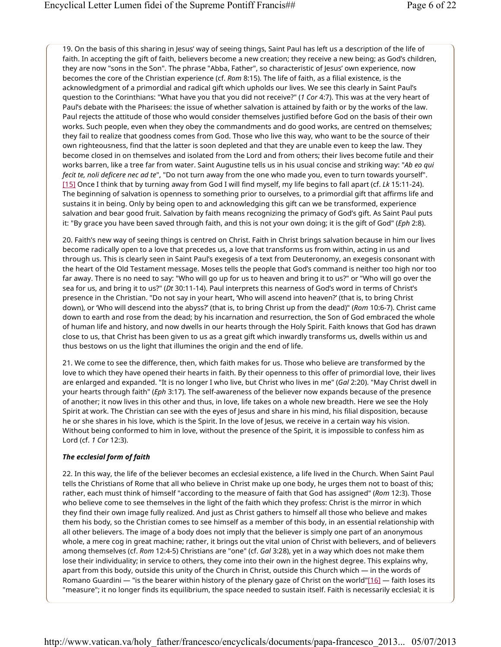19. On the basis of this sharing in Jesus' way of seeing things, Saint Paul has left us a description of the life of faith. In accepting the gift of faith, believers become a new creation; they receive a new being; as God's children, they are now "sons in the Son". The phrase "Abba, Father", so characteristic of Jesus' own experience, now becomes the core of the Christian experience (cf. Rom 8:15). The life of faith, as a filial existence, is the acknowledgment of a primordial and radical gift which upholds our lives. We see this clearly in Saint Paul's question to the Corinthians: "What have you that you did not receive?" (1 Cor 4:7). This was at the very heart of Paul's debate with the Pharisees: the issue of whether salvation is attained by faith or by the works of the law. Paul rejects the attitude of those who would consider themselves justified before God on the basis of their own works. Such people, even when they obey the commandments and do good works, are centred on themselves; they fail to realize that goodness comes from God. Those who live this way, who want to be the source of their own righteousness, find that the latter is soon depleted and that they are unable even to keep the law. They become closed in on themselves and isolated from the Lord and from others; their lives become futile and their works barren, like a tree far from water. Saint Augustine tells us in his usual concise and striking way: "Ab eo qui fecit te, noli deficere nec ad te", "Do not turn away from the one who made you, even to turn towards yourself". [15] Once I think that by turning away from God I will find myself, my life begins to fall apart (cf. Lk 15:11-24). The beginning of salvation is openness to something prior to ourselves, to a primordial gift that affirms life and sustains it in being. Only by being open to and acknowledging this gift can we be transformed, experience salvation and bear good fruit. Salvation by faith means recognizing the primacy of God's gift. As Saint Paul puts it: "By grace you have been saved through faith, and this is not your own doing; it is the gift of God" (Eph 2:8).

20. Faith's new way of seeing things is centred on Christ. Faith in Christ brings salvation because in him our lives become radically open to a love that precedes us, a love that transforms us from within, acting in us and through us. This is clearly seen in Saint Paul's exegesis of a text from Deuteronomy, an exegesis consonant with the heart of the Old Testament message. Moses tells the people that God's command is neither too high nor too far away. There is no need to say: "Who will go up for us to heaven and bring it to us?" or "Who will go over the sea for us, and bring it to us?" (Dt 30:11-14). Paul interprets this nearness of God's word in terms of Christ's presence in the Christian. "Do not say in your heart, 'Who will ascend into heaven?' (that is, to bring Christ down), or 'Who will descend into the abyss?' (that is, to bring Christ up from the dead)" (Rom 10:6-7). Christ came down to earth and rose from the dead; by his incarnation and resurrection, the Son of God embraced the whole of human life and history, and now dwells in our hearts through the Holy Spirit. Faith knows that God has drawn close to us, that Christ has been given to us as a great gift which inwardly transforms us, dwells within us and thus bestows on us the light that illumines the origin and the end of life.

21. We come to see the difference, then, which faith makes for us. Those who believe are transformed by the love to which they have opened their hearts in faith. By their openness to this offer of primordial love, their lives are enlarged and expanded. "It is no longer I who live, but Christ who lives in me" (Gal 2:20). "May Christ dwell in your hearts through faith" (Eph 3:17). The self-awareness of the believer now expands because of the presence of another; it now lives in this other and thus, in love, life takes on a whole new breadth. Here we see the Holy Spirit at work. The Christian can see with the eyes of Jesus and share in his mind, his filial disposition, because he or she shares in his love, which is the Spirit. In the love of Jesus, we receive in a certain way his vision. Without being conformed to him in love, without the presence of the Spirit, it is impossible to confess him as Lord (cf. 1 Cor 12:3).

# The ecclesial form of faith

22. In this way, the life of the believer becomes an ecclesial existence, a life lived in the Church. When Saint Paul tells the Christians of Rome that all who believe in Christ make up one body, he urges them not to boast of this; rather, each must think of himself "according to the measure of faith that God has assigned" (Rom 12:3). Those who believe come to see themselves in the light of the faith which they profess: Christ is the mirror in which they find their own image fully realized. And just as Christ gathers to himself all those who believe and makes them his body, so the Christian comes to see himself as a member of this body, in an essential relationship with all other believers. The image of a body does not imply that the believer is simply one part of an anonymous whole, a mere cog in great machine; rather, it brings out the vital union of Christ with believers, and of believers among themselves (cf. Rom 12:4-5) Christians are "one" (cf. Gal 3:28), yet in a way which does not make them lose their individuality; in service to others, they come into their own in the highest degree. This explains why, apart from this body, outside this unity of the Church in Christ, outside this Church which — in the words of Romano Guardini — "is the bearer within history of the plenary gaze of Christ on the world"[16] — faith loses its "measure"; it no longer finds its equilibrium, the space needed to sustain itself. Faith is necessarily ecclesial; it is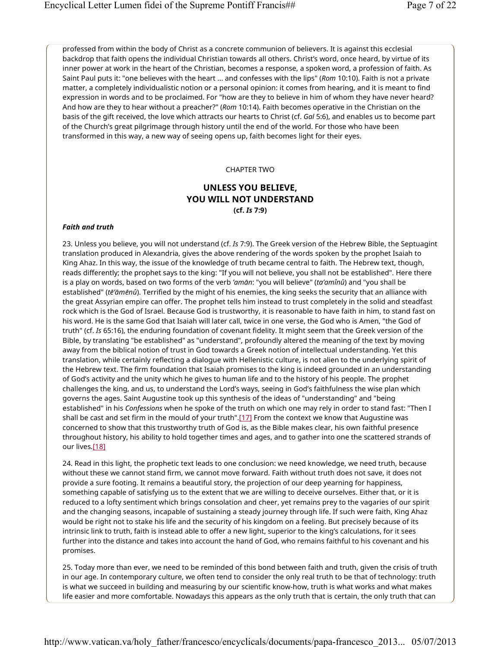professed from within the body of Christ as a concrete communion of believers. It is against this ecclesial backdrop that faith opens the individual Christian towards all others. Christ's word, once heard, by virtue of its inner power at work in the heart of the Christian, becomes a response, a spoken word, a profession of faith. As Saint Paul puts it: "one believes with the heart ... and confesses with the lips" (Rom 10:10). Faith is not a private matter, a completely individualistic notion or a personal opinion: it comes from hearing, and it is meant to find expression in words and to be proclaimed. For "how are they to believe in him of whom they have never heard? And how are they to hear without a preacher?" (Rom 10:14). Faith becomes operative in the Christian on the basis of the gift received, the love which attracts our hearts to Christ (cf. Gal 5:6), and enables us to become part of the Church's great pilgrimage through history until the end of the world. For those who have been transformed in this way, a new way of seeing opens up, faith becomes light for their eyes.

## CHAPTER TWO

# UNLESS YOU BELIEVE, YOU WILL NOT UNDERSTAND (cf. Is 7:9)

#### Faith and truth

23. Unless you believe, you will not understand (cf. Is 7:9). The Greek version of the Hebrew Bible, the Septuagint translation produced in Alexandria, gives the above rendering of the words spoken by the prophet Isaiah to King Ahaz. In this way, the issue of the knowledge of truth became central to faith. The Hebrew text, though, reads differently; the prophet says to the king: "If you will not believe, you shall not be established". Here there is a play on words, based on two forms of the verb 'amān: "you will believe" (ta'amînû) and "you shall be established" (tē'āmēnû). Terrified by the might of his enemies, the king seeks the security that an alliance with the great Assyrian empire can offer. The prophet tells him instead to trust completely in the solid and steadfast rock which is the God of Israel. Because God is trustworthy, it is reasonable to have faith in him, to stand fast on his word. He is the same God that Isaiah will later call, twice in one verse, the God who is Amen, "the God of truth" (cf. Is 65:16), the enduring foundation of covenant fidelity. It might seem that the Greek version of the Bible, by translating "be established" as "understand", profoundly altered the meaning of the text by moving away from the biblical notion of trust in God towards a Greek notion of intellectual understanding. Yet this translation, while certainly reflecting a dialogue with Hellenistic culture, is not alien to the underlying spirit of the Hebrew text. The firm foundation that Isaiah promises to the king is indeed grounded in an understanding of God's activity and the unity which he gives to human life and to the history of his people. The prophet challenges the king, and us, to understand the Lord's ways, seeing in God's faithfulness the wise plan which governs the ages. Saint Augustine took up this synthesis of the ideas of "understanding" and "being established" in his Confessions when he spoke of the truth on which one may rely in order to stand fast: "Then I shall be cast and set firm in the mould of your truth".[17] From the context we know that Augustine was concerned to show that this trustworthy truth of God is, as the Bible makes clear, his own faithful presence throughout history, his ability to hold together times and ages, and to gather into one the scattered strands of our lives.[18]

24. Read in this light, the prophetic text leads to one conclusion: we need knowledge, we need truth, because without these we cannot stand firm, we cannot move forward. Faith without truth does not save, it does not provide a sure footing. It remains a beautiful story, the projection of our deep yearning for happiness, something capable of satisfying us to the extent that we are willing to deceive ourselves. Either that, or it is reduced to a lofty sentiment which brings consolation and cheer, yet remains prey to the vagaries of our spirit and the changing seasons, incapable of sustaining a steady journey through life. If such were faith, King Ahaz would be right not to stake his life and the security of his kingdom on a feeling. But precisely because of its intrinsic link to truth, faith is instead able to offer a new light, superior to the king's calculations, for it sees further into the distance and takes into account the hand of God, who remains faithful to his covenant and his promises.

25. Today more than ever, we need to be reminded of this bond between faith and truth, given the crisis of truth in our age. In contemporary culture, we often tend to consider the only real truth to be that of technology: truth is what we succeed in building and measuring by our scientific know-how, truth is what works and what makes life easier and more comfortable. Nowadays this appears as the only truth that is certain, the only truth that can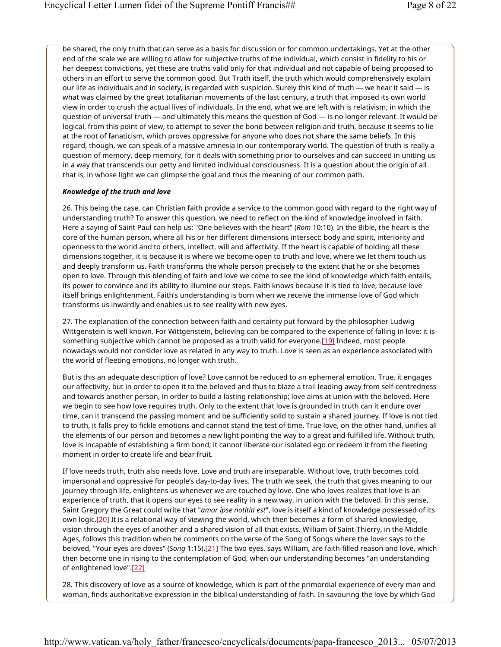be shared, the only truth that can serve as a basis for discussion or for common undertakings. Yet at the other end of the scale we are willing to allow for subjective truths of the individual, which consist in fidelity to his or her deepest convictions, yet these are truths valid only for that individual and not capable of being proposed to others in an effort to serve the common good. But Truth itself, the truth which would comprehensively explain our life as individuals and in society, is regarded with suspicion. Surely this kind of truth — we hear it said — is what was claimed by the great totalitarian movements of the last century, a truth that imposed its own world view in order to crush the actual lives of individuals. In the end, what we are left with is relativism, in which the question of universal truth — and ultimately this means the question of God — is no longer relevant. It would be logical, from this point of view, to attempt to sever the bond between religion and truth, because it seems to lie at the root of fanaticism, which proves oppressive for anyone who does not share the same beliefs. In this regard, though, we can speak of a massive amnesia in our contemporary world. The question of truth is really a question of memory, deep memory, for it deals with something prior to ourselves and can succeed in uniting us in a way that transcends our petty and limited individual consciousness. It is a question about the origin of all that is, in whose light we can glimpse the goal and thus the meaning of our common path.

## Knowledge of the truth and love

26. This being the case, can Christian faith provide a service to the common good with regard to the right way of understanding truth? To answer this question, we need to reflect on the kind of knowledge involved in faith. Here a saying of Saint Paul can help us: "One believes with the heart" (Rom 10:10). In the Bible, the heart is the core of the human person, where all his or her different dimensions intersect: body and spirit, interiority and openness to the world and to others, intellect, will and affectivity. If the heart is capable of holding all these dimensions together, it is because it is where we become open to truth and love, where we let them touch us and deeply transform us. Faith transforms the whole person precisely to the extent that he or she becomes open to love. Through this blending of faith and love we come to see the kind of knowledge which faith entails, its power to convince and its ability to illumine our steps. Faith knows because it is tied to love, because love itself brings enlightenment. Faith's understanding is born when we receive the immense love of God which transforms us inwardly and enables us to see reality with new eyes.

27. The explanation of the connection between faith and certainty put forward by the philosopher Ludwig Wittgenstein is well known. For Wittgenstein, believing can be compared to the experience of falling in love: it is something subjective which cannot be proposed as a truth valid for everyone.[19] Indeed, most people nowadays would not consider love as related in any way to truth. Love is seen as an experience associated with the world of fleeting emotions, no longer with truth.

But is this an adequate description of love? Love cannot be reduced to an ephemeral emotion. True, it engages our affectivity, but in order to open it to the beloved and thus to blaze a trail leading away from self-centredness and towards another person, in order to build a lasting relationship; love aims at union with the beloved. Here we begin to see how love requires truth. Only to the extent that love is grounded in truth can it endure over time, can it transcend the passing moment and be sufficiently solid to sustain a shared journey. If love is not tied to truth, it falls prey to fickle emotions and cannot stand the test of time. True love, on the other hand, unifies all the elements of our person and becomes a new light pointing the way to a great and fulfilled life. Without truth, love is incapable of establishing a firm bond; it cannot liberate our isolated ego or redeem it from the fleeting moment in order to create life and bear fruit.

If love needs truth, truth also needs love. Love and truth are inseparable. Without love, truth becomes cold, impersonal and oppressive for people's day-to-day lives. The truth we seek, the truth that gives meaning to our journey through life, enlightens us whenever we are touched by love. One who loves realizes that love is an experience of truth, that it opens our eyes to see reality in a new way, in union with the beloved. In this sense, Saint Gregory the Great could write that "amor ipse notitia est", love is itself a kind of knowledge possessed of its own logic.[20] It is a relational way of viewing the world, which then becomes a form of shared knowledge, vision through the eyes of another and a shared vision of all that exists. William of Saint-Thierry, in the Middle Ages, follows this tradition when he comments on the verse of the Song of Songs where the lover says to the beloved, "Your eyes are doves" (Song 1:15).[21] The two eyes, says William, are faith-filled reason and love, which then become one in rising to the contemplation of God, when our understanding becomes "an understanding of enlightened love".[22]

28. This discovery of love as a source of knowledge, which is part of the primordial experience of every man and woman, finds authoritative expression in the biblical understanding of faith. In savouring the love by which God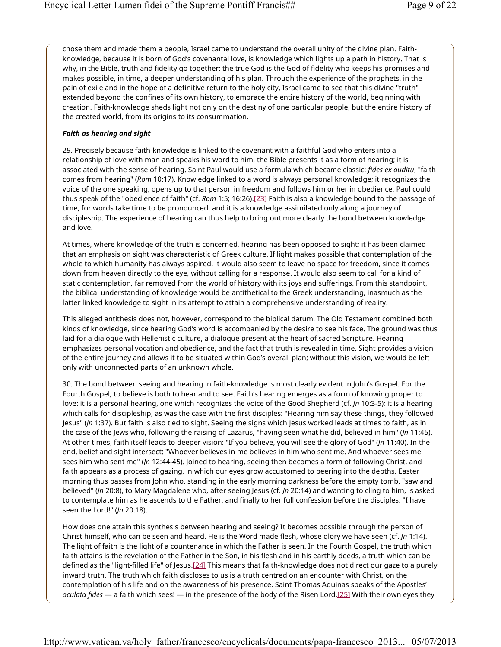chose them and made them a people, Israel came to understand the overall unity of the divine plan. Faithknowledge, because it is born of God's covenantal love, is knowledge which lights up a path in history. That is why, in the Bible, truth and fidelity go together: the true God is the God of fidelity who keeps his promises and makes possible, in time, a deeper understanding of his plan. Through the experience of the prophets, in the pain of exile and in the hope of a definitive return to the holy city, Israel came to see that this divine "truth" extended beyond the confines of its own history, to embrace the entire history of the world, beginning with creation. Faith-knowledge sheds light not only on the destiny of one particular people, but the entire history of the created world, from its origins to its consummation.

# Faith as hearing and sight

29. Precisely because faith-knowledge is linked to the covenant with a faithful God who enters into a relationship of love with man and speaks his word to him, the Bible presents it as a form of hearing; it is associated with the sense of hearing. Saint Paul would use a formula which became classic: fides ex auditu, "faith comes from hearing" (Rom 10:17). Knowledge linked to a word is always personal knowledge; it recognizes the voice of the one speaking, opens up to that person in freedom and follows him or her in obedience. Paul could thus speak of the "obedience of faith" (cf. Rom 1:5; 16:26).[23] Faith is also a knowledge bound to the passage of time, for words take time to be pronounced, and it is a knowledge assimilated only along a journey of discipleship. The experience of hearing can thus help to bring out more clearly the bond between knowledge and love.

At times, where knowledge of the truth is concerned, hearing has been opposed to sight; it has been claimed that an emphasis on sight was characteristic of Greek culture. If light makes possible that contemplation of the whole to which humanity has always aspired, it would also seem to leave no space for freedom, since it comes down from heaven directly to the eye, without calling for a response. It would also seem to call for a kind of static contemplation, far removed from the world of history with its joys and sufferings. From this standpoint, the biblical understanding of knowledge would be antithetical to the Greek understanding, inasmuch as the latter linked knowledge to sight in its attempt to attain a comprehensive understanding of reality.

This alleged antithesis does not, however, correspond to the biblical datum. The Old Testament combined both kinds of knowledge, since hearing God's word is accompanied by the desire to see his face. The ground was thus laid for a dialogue with Hellenistic culture, a dialogue present at the heart of sacred Scripture. Hearing emphasizes personal vocation and obedience, and the fact that truth is revealed in time. Sight provides a vision of the entire journey and allows it to be situated within God's overall plan; without this vision, we would be left only with unconnected parts of an unknown whole.

30. The bond between seeing and hearing in faith-knowledge is most clearly evident in John's Gospel. For the Fourth Gospel, to believe is both to hear and to see. Faith's hearing emerges as a form of knowing proper to love: it is a personal hearing, one which recognizes the voice of the Good Shepherd (cf. Jn 10:3-5); it is a hearing which calls for discipleship, as was the case with the first disciples: "Hearing him say these things, they followed Jesus" (Jn 1:37). But faith is also tied to sight. Seeing the signs which Jesus worked leads at times to faith, as in the case of the Jews who, following the raising of Lazarus, "having seen what he did, believed in him" (Jn 11:45). At other times, faith itself leads to deeper vision: "If you believe, you will see the glory of God" (Jn 11:40). In the end, belief and sight intersect: "Whoever believes in me believes in him who sent me. And whoever sees me sees him who sent me" (Jn 12:44-45). Joined to hearing, seeing then becomes a form of following Christ, and faith appears as a process of gazing, in which our eyes grow accustomed to peering into the depths. Easter morning thus passes from John who, standing in the early morning darkness before the empty tomb, "saw and believed" (In 20:8), to Mary Magdalene who, after seeing Jesus (cf. In 20:14) and wanting to cling to him, is asked to contemplate him as he ascends to the Father, and finally to her full confession before the disciples: "I have seen the Lord!" (Jn 20:18).

How does one attain this synthesis between hearing and seeing? It becomes possible through the person of Christ himself, who can be seen and heard. He is the Word made flesh, whose glory we have seen (cf. Jn 1:14). The light of faith is the light of a countenance in which the Father is seen. In the Fourth Gospel, the truth which faith attains is the revelation of the Father in the Son, in his flesh and in his earthly deeds, a truth which can be defined as the "light-filled life" of Jesus.[24] This means that faith-knowledge does not direct our gaze to a purely inward truth. The truth which faith discloses to us is a truth centred on an encounter with Christ, on the contemplation of his life and on the awareness of his presence. Saint Thomas Aquinas speaks of the Apostles' oculata fides — a faith which sees! — in the presence of the body of the Risen Lord.[25] With their own eyes they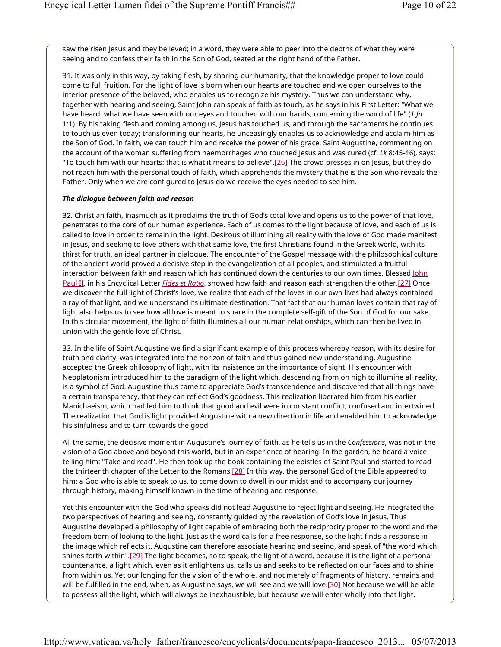saw the risen Jesus and they believed; in a word, they were able to peer into the depths of what they were seeing and to confess their faith in the Son of God, seated at the right hand of the Father.

31. It was only in this way, by taking flesh, by sharing our humanity, that the knowledge proper to love could come to full fruition. For the light of love is born when our hearts are touched and we open ourselves to the interior presence of the beloved, who enables us to recognize his mystery. Thus we can understand why, together with hearing and seeing, Saint John can speak of faith as touch, as he says in his First Letter: "What we have heard, what we have seen with our eyes and touched with our hands, concerning the word of life" (1 Jn 1:1). By his taking flesh and coming among us, Jesus has touched us, and through the sacraments he continues to touch us even today; transforming our hearts, he unceasingly enables us to acknowledge and acclaim him as the Son of God. In faith, we can touch him and receive the power of his grace. Saint Augustine, commenting on the account of the woman suffering from haemorrhages who touched Jesus and was cured (cf. Lk 8:45-46), says: "To touch him with our hearts: that is what it means to believe".[26] The crowd presses in on Jesus, but they do not reach him with the personal touch of faith, which apprehends the mystery that he is the Son who reveals the Father. Only when we are configured to Jesus do we receive the eyes needed to see him.

## The dialogue between faith and reason

32. Christian faith, inasmuch as it proclaims the truth of God's total love and opens us to the power of that love, penetrates to the core of our human experience. Each of us comes to the light because of love, and each of us is called to love in order to remain in the light. Desirous of illumining all reality with the love of God made manifest in Jesus, and seeking to love others with that same love, the first Christians found in the Greek world, with its thirst for truth, an ideal partner in dialogue. The encounter of the Gospel message with the philosophical culture of the ancient world proved a decisive step in the evangelization of all peoples, and stimulated a fruitful interaction between faith and reason which has continued down the centuries to our own times. Blessed John Paul II, in his Encyclical Letter Fides et Ratio, showed how faith and reason each strengthen the other.[27] Once we discover the full light of Christ's love, we realize that each of the loves in our own lives had always contained a ray of that light, and we understand its ultimate destination. That fact that our human loves contain that ray of light also helps us to see how all love is meant to share in the complete self-gift of the Son of God for our sake. In this circular movement, the light of faith illumines all our human relationships, which can then be lived in union with the gentle love of Christ.

33. In the life of Saint Augustine we find a significant example of this process whereby reason, with its desire for truth and clarity, was integrated into the horizon of faith and thus gained new understanding. Augustine accepted the Greek philosophy of light, with its insistence on the importance of sight. His encounter with Neoplatonism introduced him to the paradigm of the light which, descending from on high to illumine all reality, is a symbol of God. Augustine thus came to appreciate God's transcendence and discovered that all things have a certain transparency, that they can reflect God's goodness. This realization liberated him from his earlier Manichaeism, which had led him to think that good and evil were in constant conflict, confused and intertwined. The realization that God is light provided Augustine with a new direction in life and enabled him to acknowledge his sinfulness and to turn towards the good.

All the same, the decisive moment in Augustine's journey of faith, as he tells us in the Confessions, was not in the vision of a God above and beyond this world, but in an experience of hearing. In the garden, he heard a voice telling him: "Take and read". He then took up the book containing the epistles of Saint Paul and started to read the thirteenth chapter of the Letter to the Romans.[28] In this way, the personal God of the Bible appeared to him: a God who is able to speak to us, to come down to dwell in our midst and to accompany our journey through history, making himself known in the time of hearing and response.

Yet this encounter with the God who speaks did not lead Augustine to reject light and seeing. He integrated the two perspectives of hearing and seeing, constantly guided by the revelation of God's love in Jesus. Thus Augustine developed a philosophy of light capable of embracing both the reciprocity proper to the word and the freedom born of looking to the light. Just as the word calls for a free response, so the light finds a response in the image which reflects it. Augustine can therefore associate hearing and seeing, and speak of "the word which shines forth within".[29] The light becomes, so to speak, the light of a word, because it is the light of a personal countenance, a light which, even as it enlightens us, calls us and seeks to be reflected on our faces and to shine from within us. Yet our longing for the vision of the whole, and not merely of fragments of history, remains and will be fulfilled in the end, when, as Augustine says, we will see and we will love.[30] Not because we will be able to possess all the light, which will always be inexhaustible, but because we will enter wholly into that light.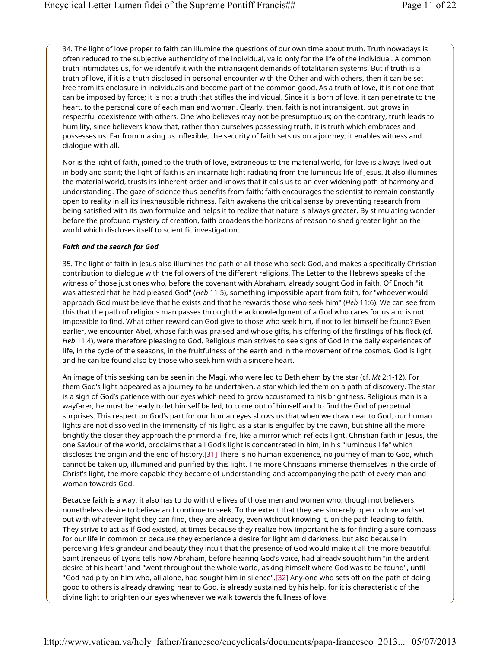34. The light of love proper to faith can illumine the questions of our own time about truth. Truth nowadays is often reduced to the subjective authenticity of the individual, valid only for the life of the individual. A common truth intimidates us, for we identify it with the intransigent demands of totalitarian systems. But if truth is a truth of love, if it is a truth disclosed in personal encounter with the Other and with others, then it can be set free from its enclosure in individuals and become part of the common good. As a truth of love, it is not one that can be imposed by force; it is not a truth that stifles the individual. Since it is born of love, it can penetrate to the heart, to the personal core of each man and woman. Clearly, then, faith is not intransigent, but grows in respectful coexistence with others. One who believes may not be presumptuous; on the contrary, truth leads to humility, since believers know that, rather than ourselves possessing truth, it is truth which embraces and possesses us. Far from making us inflexible, the security of faith sets us on a journey; it enables witness and dialogue with all.

Nor is the light of faith, joined to the truth of love, extraneous to the material world, for love is always lived out in body and spirit; the light of faith is an incarnate light radiating from the luminous life of Jesus. It also illumines the material world, trusts its inherent order and knows that it calls us to an ever widening path of harmony and understanding. The gaze of science thus benefits from faith: faith encourages the scientist to remain constantly open to reality in all its inexhaustible richness. Faith awakens the critical sense by preventing research from being satisfied with its own formulae and helps it to realize that nature is always greater. By stimulating wonder before the profound mystery of creation, faith broadens the horizons of reason to shed greater light on the world which discloses itself to scientific investigation.

## Faith and the search for God

35. The light of faith in Jesus also illumines the path of all those who seek God, and makes a specifically Christian contribution to dialogue with the followers of the different religions. The Letter to the Hebrews speaks of the witness of those just ones who, before the covenant with Abraham, already sought God in faith. Of Enoch "it was attested that he had pleased God" (Heb 11:5), something impossible apart from faith, for "whoever would approach God must believe that he exists and that he rewards those who seek him" (Heb 11:6). We can see from this that the path of religious man passes through the acknowledgment of a God who cares for us and is not impossible to find. What other reward can God give to those who seek him, if not to let himself be found? Even earlier, we encounter Abel, whose faith was praised and whose gifts, his offering of the firstlings of his flock (cf. Heb 11:4), were therefore pleasing to God. Religious man strives to see signs of God in the daily experiences of life, in the cycle of the seasons, in the fruitfulness of the earth and in the movement of the cosmos. God is light and he can be found also by those who seek him with a sincere heart.

An image of this seeking can be seen in the Magi, who were led to Bethlehem by the star (cf. Mt 2:1-12). For them God's light appeared as a journey to be undertaken, a star which led them on a path of discovery. The star is a sign of God's patience with our eyes which need to grow accustomed to his brightness. Religious man is a wayfarer; he must be ready to let himself be led, to come out of himself and to find the God of perpetual surprises. This respect on God's part for our human eyes shows us that when we draw near to God, our human lights are not dissolved in the immensity of his light, as a star is engulfed by the dawn, but shine all the more brightly the closer they approach the primordial fire, like a mirror which reflects light. Christian faith in Jesus, the one Saviour of the world, proclaims that all God's light is concentrated in him, in his "luminous life" which discloses the origin and the end of history.[31] There is no human experience, no journey of man to God, which cannot be taken up, illumined and purified by this light. The more Christians immerse themselves in the circle of Christ's light, the more capable they become of understanding and accompanying the path of every man and woman towards God.

Because faith is a way, it also has to do with the lives of those men and women who, though not believers, nonetheless desire to believe and continue to seek. To the extent that they are sincerely open to love and set out with whatever light they can find, they are already, even without knowing it, on the path leading to faith. They strive to act as if God existed, at times because they realize how important he is for finding a sure compass for our life in common or because they experience a desire for light amid darkness, but also because in perceiving life's grandeur and beauty they intuit that the presence of God would make it all the more beautiful. Saint Irenaeus of Lyons tells how Abraham, before hearing God's voice, had already sought him "in the ardent desire of his heart" and "went throughout the whole world, asking himself where God was to be found", until "God had pity on him who, all alone, had sought him in silence".[32] Any-one who sets off on the path of doing good to others is already drawing near to God, is already sustained by his help, for it is characteristic of the divine light to brighten our eyes whenever we walk towards the fullness of love.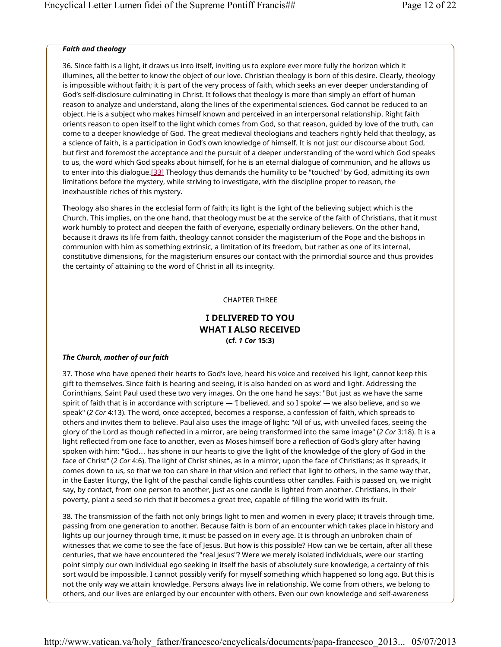# Faith and theology

36. Since faith is a light, it draws us into itself, inviting us to explore ever more fully the horizon which it illumines, all the better to know the object of our love. Christian theology is born of this desire. Clearly, theology is impossible without faith; it is part of the very process of faith, which seeks an ever deeper understanding of God's self-disclosure culminating in Christ. It follows that theology is more than simply an effort of human reason to analyze and understand, along the lines of the experimental sciences. God cannot be reduced to an object. He is a subject who makes himself known and perceived in an interpersonal relationship. Right faith orients reason to open itself to the light which comes from God, so that reason, guided by love of the truth, can come to a deeper knowledge of God. The great medieval theologians and teachers rightly held that theology, as a science of faith, is a participation in God's own knowledge of himself. It is not just our discourse about God, but first and foremost the acceptance and the pursuit of a deeper understanding of the word which God speaks to us, the word which God speaks about himself, for he is an eternal dialogue of communion, and he allows us to enter into this dialogue.[33] Theology thus demands the humility to be "touched" by God, admitting its own limitations before the mystery, while striving to investigate, with the discipline proper to reason, the inexhaustible riches of this mystery.

Theology also shares in the ecclesial form of faith; its light is the light of the believing subject which is the Church. This implies, on the one hand, that theology must be at the service of the faith of Christians, that it must work humbly to protect and deepen the faith of everyone, especially ordinary believers. On the other hand, because it draws its life from faith, theology cannot consider the magisterium of the Pope and the bishops in communion with him as something extrinsic, a limitation of its freedom, but rather as one of its internal, constitutive dimensions, for the magisterium ensures our contact with the primordial source and thus provides the certainty of attaining to the word of Christ in all its integrity.

#### CHAPTER THREE

# I DELIVERED TO YOU WHAT I ALSO RECEIVED (cf. 1 Cor 15:3)

## The Church, mother of our faith

37. Those who have opened their hearts to God's love, heard his voice and received his light, cannot keep this gift to themselves. Since faith is hearing and seeing, it is also handed on as word and light. Addressing the Corinthians, Saint Paul used these two very images. On the one hand he says: "But just as we have the same spirit of faith that is in accordance with scripture  $-1$  believed, and so I spoke'  $-$  we also believe, and so we speak" (2 Cor 4:13). The word, once accepted, becomes a response, a confession of faith, which spreads to others and invites them to believe. Paul also uses the image of light: "All of us, with unveiled faces, seeing the glory of the Lord as though reflected in a mirror, are being transformed into the same image" (2 Cor 3:18). It is a light reflected from one face to another, even as Moses himself bore a reflection of God's glory after having spoken with him: "God… has shone in our hearts to give the light of the knowledge of the glory of God in the face of Christ" (2 Cor 4:6). The light of Christ shines, as in a mirror, upon the face of Christians; as it spreads, it comes down to us, so that we too can share in that vision and reflect that light to others, in the same way that, in the Easter liturgy, the light of the paschal candle lights countless other candles. Faith is passed on, we might say, by contact, from one person to another, just as one candle is lighted from another. Christians, in their poverty, plant a seed so rich that it becomes a great tree, capable of filling the world with its fruit.

38. The transmission of the faith not only brings light to men and women in every place; it travels through time, passing from one generation to another. Because faith is born of an encounter which takes place in history and lights up our journey through time, it must be passed on in every age. It is through an unbroken chain of witnesses that we come to see the face of Jesus. But how is this possible? How can we be certain, after all these centuries, that we have encountered the "real Jesus"? Were we merely isolated individuals, were our starting point simply our own individual ego seeking in itself the basis of absolutely sure knowledge, a certainty of this sort would be impossible. I cannot possibly verify for myself something which happened so long ago. But this is not the only way we attain knowledge. Persons always live in relationship. We come from others, we belong to others, and our lives are enlarged by our encounter with others. Even our own knowledge and self-awareness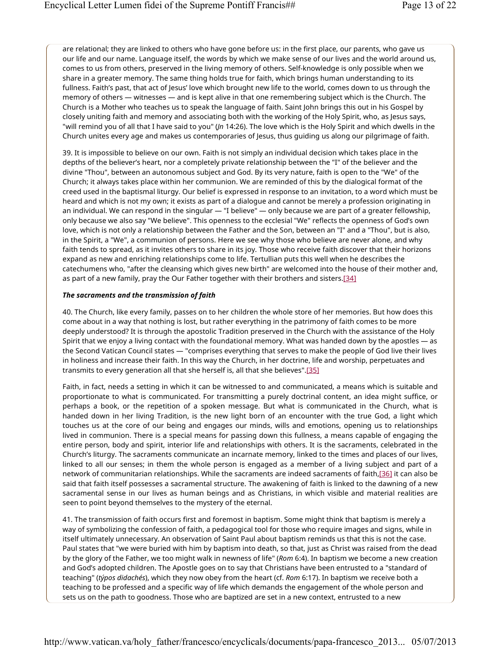are relational; they are linked to others who have gone before us: in the first place, our parents, who gave us our life and our name. Language itself, the words by which we make sense of our lives and the world around us, comes to us from others, preserved in the living memory of others. Self-knowledge is only possible when we share in a greater memory. The same thing holds true for faith, which brings human understanding to its fullness. Faith's past, that act of Jesus' love which brought new life to the world, comes down to us through the memory of others — witnesses — and is kept alive in that one remembering subject which is the Church. The Church is a Mother who teaches us to speak the language of faith. Saint John brings this out in his Gospel by closely uniting faith and memory and associating both with the working of the Holy Spirit, who, as Jesus says, "will remind you of all that I have said to you" (Jn 14:26). The love which is the Holy Spirit and which dwells in the Church unites every age and makes us contemporaries of Jesus, thus guiding us along our pilgrimage of faith.

39. It is impossible to believe on our own. Faith is not simply an individual decision which takes place in the depths of the believer's heart, nor a completely private relationship between the "I" of the believer and the divine "Thou", between an autonomous subject and God. By its very nature, faith is open to the "We" of the Church; it always takes place within her communion. We are reminded of this by the dialogical format of the creed used in the baptismal liturgy. Our belief is expressed in response to an invitation, to a word which must be heard and which is not my own; it exists as part of a dialogue and cannot be merely a profession originating in an individual. We can respond in the singular — "I believe" — only because we are part of a greater fellowship, only because we also say "We believe". This openness to the ecclesial "We" reflects the openness of God's own love, which is not only a relationship between the Father and the Son, between an "I" and a "Thou", but is also, in the Spirit, a "We", a communion of persons. Here we see why those who believe are never alone, and why faith tends to spread, as it invites others to share in its joy. Those who receive faith discover that their horizons expand as new and enriching relationships come to life. Tertullian puts this well when he describes the catechumens who, "after the cleansing which gives new birth" are welcomed into the house of their mother and, as part of a new family, pray the Our Father together with their brothers and sisters.[34]

# The sacraments and the transmission of faith

40. The Church, like every family, passes on to her children the whole store of her memories. But how does this come about in a way that nothing is lost, but rather everything in the patrimony of faith comes to be more deeply understood? It is through the apostolic Tradition preserved in the Church with the assistance of the Holy Spirit that we enjoy a living contact with the foundational memory. What was handed down by the apostles — as the Second Vatican Council states — "comprises everything that serves to make the people of God live their lives in holiness and increase their faith. In this way the Church, in her doctrine, life and worship, perpetuates and transmits to every generation all that she herself is, all that she believes".[35]

Faith, in fact, needs a setting in which it can be witnessed to and communicated, a means which is suitable and proportionate to what is communicated. For transmitting a purely doctrinal content, an idea might suffice, or perhaps a book, or the repetition of a spoken message. But what is communicated in the Church, what is handed down in her living Tradition, is the new light born of an encounter with the true God, a light which touches us at the core of our being and engages our minds, wills and emotions, opening us to relationships lived in communion. There is a special means for passing down this fullness, a means capable of engaging the entire person, body and spirit, interior life and relationships with others. It is the sacraments, celebrated in the Church's liturgy. The sacraments communicate an incarnate memory, linked to the times and places of our lives, linked to all our senses; in them the whole person is engaged as a member of a living subject and part of a network of communitarian relationships. While the sacraments are indeed sacraments of faith,[36] it can also be said that faith itself possesses a sacramental structure. The awakening of faith is linked to the dawning of a new sacramental sense in our lives as human beings and as Christians, in which visible and material realities are seen to point beyond themselves to the mystery of the eternal.

41. The transmission of faith occurs first and foremost in baptism. Some might think that baptism is merely a way of symbolizing the confession of faith, a pedagogical tool for those who require images and signs, while in itself ultimately unnecessary. An observation of Saint Paul about baptism reminds us that this is not the case. Paul states that "we were buried with him by baptism into death, so that, just as Christ was raised from the dead by the glory of the Father, we too might walk in newness of life" (Rom 6:4). In baptism we become a new creation and God's adopted children. The Apostle goes on to say that Christians have been entrusted to a "standard of teaching" (týpos didachés), which they now obey from the heart (cf. Rom 6:17). In baptism we receive both a teaching to be professed and a specific way of life which demands the engagement of the whole person and sets us on the path to goodness. Those who are baptized are set in a new context, entrusted to a new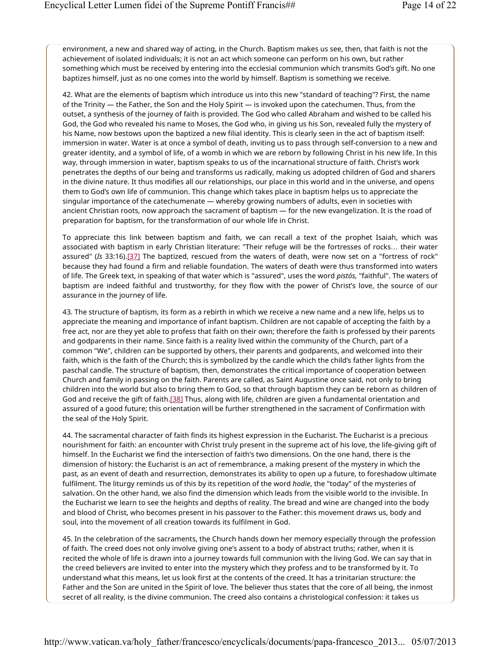environment, a new and shared way of acting, in the Church. Baptism makes us see, then, that faith is not the achievement of isolated individuals; it is not an act which someone can perform on his own, but rather something which must be received by entering into the ecclesial communion which transmits God's gift. No one baptizes himself, just as no one comes into the world by himself. Baptism is something we receive.

42. What are the elements of baptism which introduce us into this new "standard of teaching"? First, the name of the Trinity — the Father, the Son and the Holy Spirit — is invoked upon the catechumen. Thus, from the outset, a synthesis of the journey of faith is provided. The God who called Abraham and wished to be called his God, the God who revealed his name to Moses, the God who, in giving us his Son, revealed fully the mystery of his Name, now bestows upon the baptized a new filial identity. This is clearly seen in the act of baptism itself: immersion in water. Water is at once a symbol of death, inviting us to pass through self-conversion to a new and greater identity, and a symbol of life, of a womb in which we are reborn by following Christ in his new life. In this way, through immersion in water, baptism speaks to us of the incarnational structure of faith. Christ's work penetrates the depths of our being and transforms us radically, making us adopted children of God and sharers in the divine nature. It thus modifies all our relationships, our place in this world and in the universe, and opens them to God's own life of communion. This change which takes place in baptism helps us to appreciate the singular importance of the catechumenate — whereby growing numbers of adults, even in societies with ancient Christian roots, now approach the sacrament of baptism — for the new evangelization. It is the road of preparation for baptism, for the transformation of our whole life in Christ.

To appreciate this link between baptism and faith, we can recall a text of the prophet Isaiah, which was associated with baptism in early Christian literature: "Their refuge will be the fortresses of rocks… their water assured" (Is 33:16).[37] The baptized, rescued from the waters of death, were now set on a "fortress of rock" because they had found a firm and reliable foundation. The waters of death were thus transformed into waters of life. The Greek text, in speaking of that water which is "assured", uses the word pistós, "faithful". The waters of baptism are indeed faithful and trustworthy, for they flow with the power of Christ's love, the source of our assurance in the journey of life.

43. The structure of baptism, its form as a rebirth in which we receive a new name and a new life, helps us to appreciate the meaning and importance of infant baptism. Children are not capable of accepting the faith by a free act, nor are they yet able to profess that faith on their own; therefore the faith is professed by their parents and godparents in their name. Since faith is a reality lived within the community of the Church, part of a common "We", children can be supported by others, their parents and godparents, and welcomed into their faith, which is the faith of the Church; this is symbolized by the candle which the child's father lights from the paschal candle. The structure of baptism, then, demonstrates the critical importance of cooperation between Church and family in passing on the faith. Parents are called, as Saint Augustine once said, not only to bring children into the world but also to bring them to God, so that through baptism they can be reborn as children of God and receive the gift of faith.[38] Thus, along with life, children are given a fundamental orientation and assured of a good future; this orientation will be further strengthened in the sacrament of Confirmation with the seal of the Holy Spirit.

44. The sacramental character of faith finds its highest expression in the Eucharist. The Eucharist is a precious nourishment for faith: an encounter with Christ truly present in the supreme act of his love, the life-giving gift of himself. In the Eucharist we find the intersection of faith's two dimensions. On the one hand, there is the dimension of history: the Eucharist is an act of remembrance, a making present of the mystery in which the past, as an event of death and resurrection, demonstrates its ability to open up a future, to foreshadow ultimate fulfilment. The liturgy reminds us of this by its repetition of the word hodie, the "today" of the mysteries of salvation. On the other hand, we also find the dimension which leads from the visible world to the invisible. In the Eucharist we learn to see the heights and depths of reality. The bread and wine are changed into the body and blood of Christ, who becomes present in his passover to the Father: this movement draws us, body and soul, into the movement of all creation towards its fulfilment in God.

45. In the celebration of the sacraments, the Church hands down her memory especially through the profession of faith. The creed does not only involve giving one's assent to a body of abstract truths; rather, when it is recited the whole of life is drawn into a journey towards full communion with the living God. We can say that in the creed believers are invited to enter into the mystery which they profess and to be transformed by it. To understand what this means, let us look first at the contents of the creed. It has a trinitarian structure: the Father and the Son are united in the Spirit of love. The believer thus states that the core of all being, the inmost secret of all reality, is the divine communion. The creed also contains a christological confession: it takes us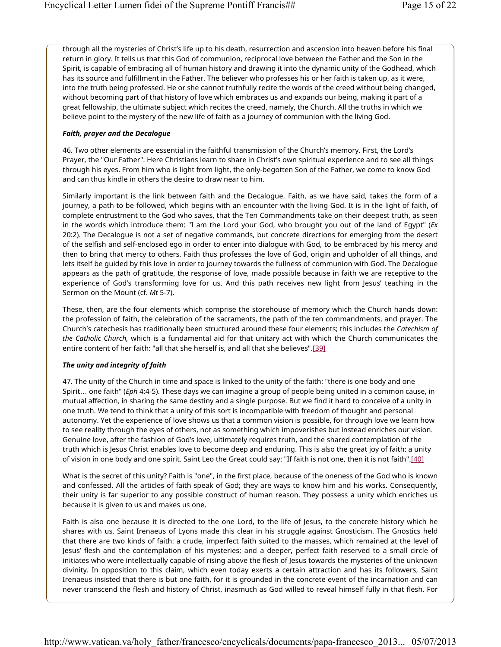through all the mysteries of Christ's life up to his death, resurrection and ascension into heaven before his final return in glory. It tells us that this God of communion, reciprocal love between the Father and the Son in the Spirit, is capable of embracing all of human history and drawing it into the dynamic unity of the Godhead, which has its source and fulfillment in the Father. The believer who professes his or her faith is taken up, as it were, into the truth being professed. He or she cannot truthfully recite the words of the creed without being changed, without becoming part of that history of love which embraces us and expands our being, making it part of a great fellowship, the ultimate subject which recites the creed, namely, the Church. All the truths in which we believe point to the mystery of the new life of faith as a journey of communion with the living God.

# Faith, prayer and the Decalogue

46. Two other elements are essential in the faithful transmission of the Church's memory. First, the Lord's Prayer, the "Our Father". Here Christians learn to share in Christ's own spiritual experience and to see all things through his eyes. From him who is light from light, the only-begotten Son of the Father, we come to know God and can thus kindle in others the desire to draw near to him.

Similarly important is the link between faith and the Decalogue. Faith, as we have said, takes the form of a journey, a path to be followed, which begins with an encounter with the living God. It is in the light of faith, of complete entrustment to the God who saves, that the Ten Commandments take on their deepest truth, as seen in the words which introduce them: "I am the Lord your God, who brought you out of the land of Egypt" (Ex 20:2). The Decalogue is not a set of negative commands, but concrete directions for emerging from the desert of the selfish and self-enclosed ego in order to enter into dialogue with God, to be embraced by his mercy and then to bring that mercy to others. Faith thus professes the love of God, origin and upholder of all things, and lets itself be guided by this love in order to journey towards the fullness of communion with God. The Decalogue appears as the path of gratitude, the response of love, made possible because in faith we are receptive to the experience of God's transforming love for us. And this path receives new light from Jesus' teaching in the Sermon on the Mount (cf. Mt 5-7).

These, then, are the four elements which comprise the storehouse of memory which the Church hands down: the profession of faith, the celebration of the sacraments, the path of the ten commandments, and prayer. The Church's catechesis has traditionally been structured around these four elements; this includes the Catechism of the Catholic Church, which is a fundamental aid for that unitary act with which the Church communicates the entire content of her faith: "all that she herself is, and all that she believes".[39]

## The unity and integrity of faith

47. The unity of the Church in time and space is linked to the unity of the faith: "there is one body and one Spirit... one faith" (Eph 4:4-5). These days we can imagine a group of people being united in a common cause, in mutual affection, in sharing the same destiny and a single purpose. But we find it hard to conceive of a unity in one truth. We tend to think that a unity of this sort is incompatible with freedom of thought and personal autonomy. Yet the experience of love shows us that a common vision is possible, for through love we learn how to see reality through the eyes of others, not as something which impoverishes but instead enriches our vision. Genuine love, after the fashion of God's love, ultimately requires truth, and the shared contemplation of the truth which is Jesus Christ enables love to become deep and enduring. This is also the great joy of faith: a unity of vision in one body and one spirit. Saint Leo the Great could say: "If faith is not one, then it is not faith".[40]

What is the secret of this unity? Faith is "one", in the first place, because of the oneness of the God who is known and confessed. All the articles of faith speak of God; they are ways to know him and his works. Consequently, their unity is far superior to any possible construct of human reason. They possess a unity which enriches us because it is given to us and makes us one.

Faith is also one because it is directed to the one Lord, to the life of Jesus, to the concrete history which he shares with us. Saint Irenaeus of Lyons made this clear in his struggle against Gnosticism. The Gnostics held that there are two kinds of faith: a crude, imperfect faith suited to the masses, which remained at the level of Jesus' flesh and the contemplation of his mysteries; and a deeper, perfect faith reserved to a small circle of initiates who were intellectually capable of rising above the flesh of Jesus towards the mysteries of the unknown divinity. In opposition to this claim, which even today exerts a certain attraction and has its followers, Saint Irenaeus insisted that there is but one faith, for it is grounded in the concrete event of the incarnation and can never transcend the flesh and history of Christ, inasmuch as God willed to reveal himself fully in that flesh. For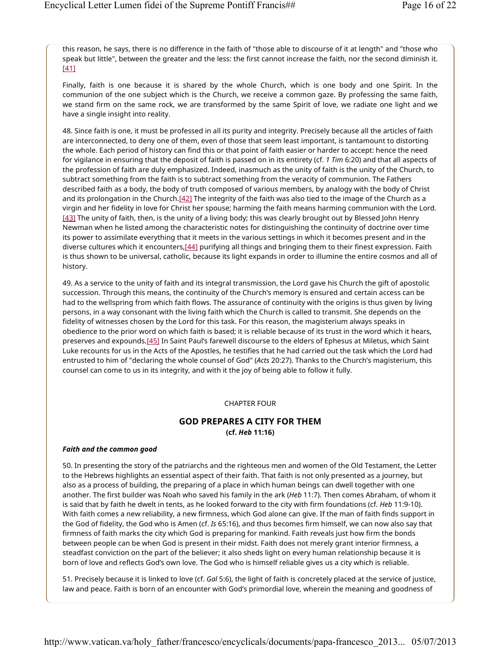this reason, he says, there is no difference in the faith of "those able to discourse of it at length" and "those who speak but little", between the greater and the less: the first cannot increase the faith, nor the second diminish it. [41]

Finally, faith is one because it is shared by the whole Church, which is one body and one Spirit. In the communion of the one subject which is the Church, we receive a common gaze. By professing the same faith, we stand firm on the same rock, we are transformed by the same Spirit of love, we radiate one light and we have a single insight into reality.

48. Since faith is one, it must be professed in all its purity and integrity. Precisely because all the articles of faith are interconnected, to deny one of them, even of those that seem least important, is tantamount to distorting the whole. Each period of history can find this or that point of faith easier or harder to accept: hence the need for vigilance in ensuring that the deposit of faith is passed on in its entirety (cf. 1 Tim 6:20) and that all aspects of the profession of faith are duly emphasized. Indeed, inasmuch as the unity of faith is the unity of the Church, to subtract something from the faith is to subtract something from the veracity of communion. The Fathers described faith as a body, the body of truth composed of various members, by analogy with the body of Christ and its prolongation in the Church.<sup>[42]</sup> The integrity of the faith was also tied to the image of the Church as a virgin and her fidelity in love for Christ her spouse; harming the faith means harming communion with the Lord. [43] The unity of faith, then, is the unity of a living body; this was clearly brought out by Blessed John Henry Newman when he listed among the characteristic notes for distinguishing the continuity of doctrine over time its power to assimilate everything that it meets in the various settings in which it becomes present and in the diverse cultures which it encounters,[44] purifying all things and bringing them to their finest expression. Faith is thus shown to be universal, catholic, because its light expands in order to illumine the entire cosmos and all of history.

49. As a service to the unity of faith and its integral transmission, the Lord gave his Church the gift of apostolic succession. Through this means, the continuity of the Church's memory is ensured and certain access can be had to the wellspring from which faith flows. The assurance of continuity with the origins is thus given by living persons, in a way consonant with the living faith which the Church is called to transmit. She depends on the fidelity of witnesses chosen by the Lord for this task. For this reason, the magisterium always speaks in obedience to the prior word on which faith is based; it is reliable because of its trust in the word which it hears, preserves and expounds.[45] In Saint Paul's farewell discourse to the elders of Ephesus at Miletus, which Saint Luke recounts for us in the Acts of the Apostles, he testifies that he had carried out the task which the Lord had entrusted to him of "declaring the whole counsel of God" (Acts 20:27). Thanks to the Church's magisterium, this counsel can come to us in its integrity, and with it the joy of being able to follow it fully.

## CHAPTER FOUR

# GOD PREPARES A CITY FOR THEM (cf. Heb 11:16)

## Faith and the common good

50. In presenting the story of the patriarchs and the righteous men and women of the Old Testament, the Letter to the Hebrews highlights an essential aspect of their faith. That faith is not only presented as a journey, but also as a process of building, the preparing of a place in which human beings can dwell together with one another. The first builder was Noah who saved his family in the ark (Heb 11:7). Then comes Abraham, of whom it is said that by faith he dwelt in tents, as he looked forward to the city with firm foundations (cf. Heb 11:9-10). With faith comes a new reliability, a new firmness, which God alone can give. If the man of faith finds support in the God of fidelity, the God who is Amen (cf. Is 65:16), and thus becomes firm himself, we can now also say that firmness of faith marks the city which God is preparing for mankind. Faith reveals just how firm the bonds between people can be when God is present in their midst. Faith does not merely grant interior firmness, a steadfast conviction on the part of the believer; it also sheds light on every human relationship because it is born of love and reflects God's own love. The God who is himself reliable gives us a city which is reliable.

51. Precisely because it is linked to love (cf. Gal 5:6), the light of faith is concretely placed at the service of justice, law and peace. Faith is born of an encounter with God's primordial love, wherein the meaning and goodness of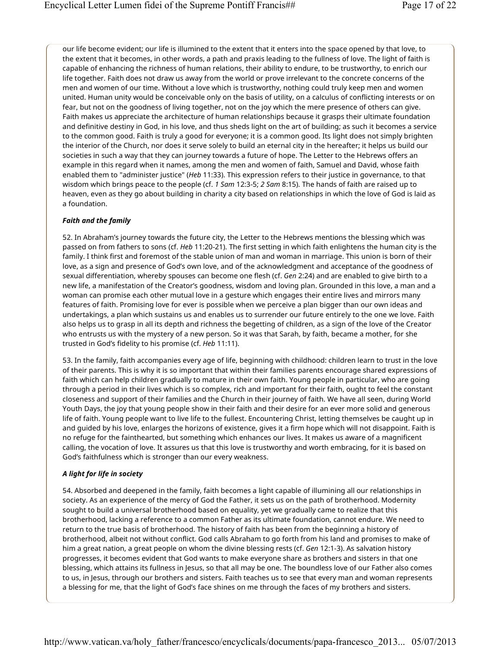our life become evident; our life is illumined to the extent that it enters into the space opened by that love, to the extent that it becomes, in other words, a path and praxis leading to the fullness of love. The light of faith is capable of enhancing the richness of human relations, their ability to endure, to be trustworthy, to enrich our life together. Faith does not draw us away from the world or prove irrelevant to the concrete concerns of the men and women of our time. Without a love which is trustworthy, nothing could truly keep men and women united. Human unity would be conceivable only on the basis of utility, on a calculus of conflicting interests or on fear, but not on the goodness of living together, not on the joy which the mere presence of others can give. Faith makes us appreciate the architecture of human relationships because it grasps their ultimate foundation and definitive destiny in God, in his love, and thus sheds light on the art of building; as such it becomes a service to the common good. Faith is truly a good for everyone; it is a common good. Its light does not simply brighten the interior of the Church, nor does it serve solely to build an eternal city in the hereafter; it helps us build our societies in such a way that they can journey towards a future of hope. The Letter to the Hebrews offers an example in this regard when it names, among the men and women of faith, Samuel and David, whose faith enabled them to "administer justice" (Heb 11:33). This expression refers to their justice in governance, to that wisdom which brings peace to the people (cf. 1 Sam 12:3-5; 2 Sam 8:15). The hands of faith are raised up to heaven, even as they go about building in charity a city based on relationships in which the love of God is laid as a foundation.

# Faith and the family

52. In Abraham's journey towards the future city, the Letter to the Hebrews mentions the blessing which was passed on from fathers to sons (cf. Heb 11:20-21). The first setting in which faith enlightens the human city is the family. I think first and foremost of the stable union of man and woman in marriage. This union is born of their love, as a sign and presence of God's own love, and of the acknowledgment and acceptance of the goodness of sexual differentiation, whereby spouses can become one flesh (cf. Gen 2:24) and are enabled to give birth to a new life, a manifestation of the Creator's goodness, wisdom and loving plan. Grounded in this love, a man and a woman can promise each other mutual love in a gesture which engages their entire lives and mirrors many features of faith. Promising love for ever is possible when we perceive a plan bigger than our own ideas and undertakings, a plan which sustains us and enables us to surrender our future entirely to the one we love. Faith also helps us to grasp in all its depth and richness the begetting of children, as a sign of the love of the Creator who entrusts us with the mystery of a new person. So it was that Sarah, by faith, became a mother, for she trusted in God's fidelity to his promise (cf. Heb 11:11).

53. In the family, faith accompanies every age of life, beginning with childhood: children learn to trust in the love of their parents. This is why it is so important that within their families parents encourage shared expressions of faith which can help children gradually to mature in their own faith. Young people in particular, who are going through a period in their lives which is so complex, rich and important for their faith, ought to feel the constant closeness and support of their families and the Church in their journey of faith. We have all seen, during World Youth Days, the joy that young people show in their faith and their desire for an ever more solid and generous life of faith. Young people want to live life to the fullest. Encountering Christ, letting themselves be caught up in and guided by his love, enlarges the horizons of existence, gives it a firm hope which will not disappoint. Faith is no refuge for the fainthearted, but something which enhances our lives. It makes us aware of a magnificent calling, the vocation of love. It assures us that this love is trustworthy and worth embracing, for it is based on God's faithfulness which is stronger than our every weakness.

## A light for life in society

54. Absorbed and deepened in the family, faith becomes a light capable of illumining all our relationships in society. As an experience of the mercy of God the Father, it sets us on the path of brotherhood. Modernity sought to build a universal brotherhood based on equality, yet we gradually came to realize that this brotherhood, lacking a reference to a common Father as its ultimate foundation, cannot endure. We need to return to the true basis of brotherhood. The history of faith has been from the beginning a history of brotherhood, albeit not without conflict. God calls Abraham to go forth from his land and promises to make of him a great nation, a great people on whom the divine blessing rests (cf. Gen 12:1-3). As salvation history progresses, it becomes evident that God wants to make everyone share as brothers and sisters in that one blessing, which attains its fullness in Jesus, so that all may be one. The boundless love of our Father also comes to us, in Jesus, through our brothers and sisters. Faith teaches us to see that every man and woman represents a blessing for me, that the light of God's face shines on me through the faces of my brothers and sisters.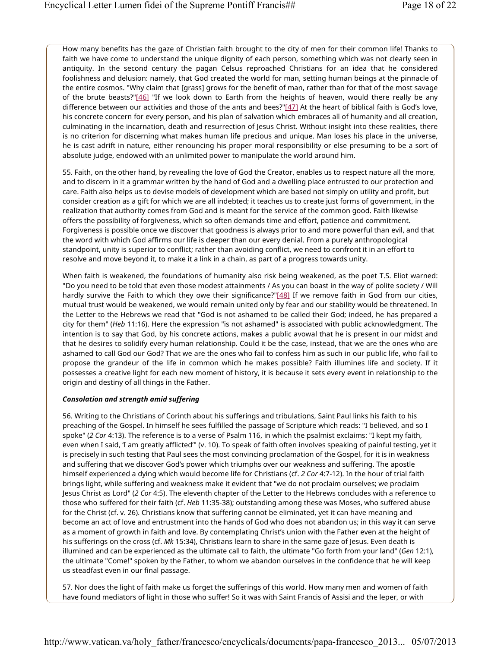How many benefits has the gaze of Christian faith brought to the city of men for their common life! Thanks to faith we have come to understand the unique dignity of each person, something which was not clearly seen in antiquity. In the second century the pagan Celsus reproached Christians for an idea that he considered foolishness and delusion: namely, that God created the world for man, setting human beings at the pinnacle of the entire cosmos. "Why claim that [grass] grows for the benefit of man, rather than for that of the most savage of the brute beasts?"[46] "If we look down to Earth from the heights of heaven, would there really be any difference between our activities and those of the ants and bees?"[47] At the heart of biblical faith is God's love, his concrete concern for every person, and his plan of salvation which embraces all of humanity and all creation, culminating in the incarnation, death and resurrection of Jesus Christ. Without insight into these realities, there is no criterion for discerning what makes human life precious and unique. Man loses his place in the universe, he is cast adrift in nature, either renouncing his proper moral responsibility or else presuming to be a sort of absolute judge, endowed with an unlimited power to manipulate the world around him.

55. Faith, on the other hand, by revealing the love of God the Creator, enables us to respect nature all the more, and to discern in it a grammar written by the hand of God and a dwelling place entrusted to our protection and care. Faith also helps us to devise models of development which are based not simply on utility and profit, but consider creation as a gift for which we are all indebted; it teaches us to create just forms of government, in the realization that authority comes from God and is meant for the service of the common good. Faith likewise offers the possibility of forgiveness, which so often demands time and effort, patience and commitment. Forgiveness is possible once we discover that goodness is always prior to and more powerful than evil, and that the word with which God affirms our life is deeper than our every denial. From a purely anthropological standpoint, unity is superior to conflict; rather than avoiding conflict, we need to confront it in an effort to resolve and move beyond it, to make it a link in a chain, as part of a progress towards unity.

When faith is weakened, the foundations of humanity also risk being weakened, as the poet T.S. Eliot warned: "Do you need to be told that even those modest attainments / As you can boast in the way of polite society / Will hardly survive the Faith to which they owe their significance?"[48] If we remove faith in God from our cities, mutual trust would be weakened, we would remain united only by fear and our stability would be threatened. In the Letter to the Hebrews we read that "God is not ashamed to be called their God; indeed, he has prepared a city for them" (Heb 11:16). Here the expression "is not ashamed" is associated with public acknowledgment. The intention is to say that God, by his concrete actions, makes a public avowal that he is present in our midst and that he desires to solidify every human relationship. Could it be the case, instead, that we are the ones who are ashamed to call God our God? That we are the ones who fail to confess him as such in our public life, who fail to propose the grandeur of the life in common which he makes possible? Faith illumines life and society. If it possesses a creative light for each new moment of history, it is because it sets every event in relationship to the origin and destiny of all things in the Father.

## Consolation and strength amid suffering

56. Writing to the Christians of Corinth about his sufferings and tribulations, Saint Paul links his faith to his preaching of the Gospel. In himself he sees fulfilled the passage of Scripture which reads: "I believed, and so I spoke" (2 Cor 4:13). The reference is to a verse of Psalm 116, in which the psalmist exclaims: "I kept my faith, even when I said, 'I am greatly afflicted'" (v. 10). To speak of faith often involves speaking of painful testing, yet it is precisely in such testing that Paul sees the most convincing proclamation of the Gospel, for it is in weakness and suffering that we discover God's power which triumphs over our weakness and suffering. The apostle himself experienced a dying which would become life for Christians (cf. 2 Cor 4:7-12). In the hour of trial faith brings light, while suffering and weakness make it evident that "we do not proclaim ourselves; we proclaim Jesus Christ as Lord" (2 Cor 4:5). The eleventh chapter of the Letter to the Hebrews concludes with a reference to those who suffered for their faith (cf. Heb 11:35-38); outstanding among these was Moses, who suffered abuse for the Christ (cf. v. 26). Christians know that suffering cannot be eliminated, yet it can have meaning and become an act of love and entrustment into the hands of God who does not abandon us; in this way it can serve as a moment of growth in faith and love. By contemplating Christ's union with the Father even at the height of his sufferings on the cross (cf. Mk 15:34), Christians learn to share in the same gaze of Jesus. Even death is illumined and can be experienced as the ultimate call to faith, the ultimate "Go forth from your land" (Gen 12:1), the ultimate "Come!" spoken by the Father, to whom we abandon ourselves in the confidence that he will keep us steadfast even in our final passage.

57. Nor does the light of faith make us forget the sufferings of this world. How many men and women of faith have found mediators of light in those who suffer! So it was with Saint Francis of Assisi and the leper, or with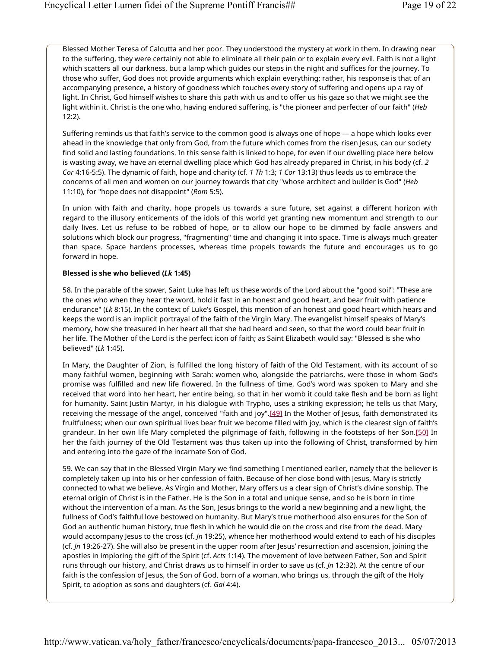Blessed Mother Teresa of Calcutta and her poor. They understood the mystery at work in them. In drawing near to the suffering, they were certainly not able to eliminate all their pain or to explain every evil. Faith is not a light which scatters all our darkness, but a lamp which guides our steps in the night and suffices for the journey. To those who suffer, God does not provide arguments which explain everything; rather, his response is that of an accompanying presence, a history of goodness which touches every story of suffering and opens up a ray of light. In Christ, God himself wishes to share this path with us and to offer us his gaze so that we might see the light within it. Christ is the one who, having endured suffering, is "the pioneer and perfecter of our faith" (Heb 12:2).

Suffering reminds us that faith's service to the common good is always one of hope — a hope which looks ever ahead in the knowledge that only from God, from the future which comes from the risen Jesus, can our society find solid and lasting foundations. In this sense faith is linked to hope, for even if our dwelling place here below is wasting away, we have an eternal dwelling place which God has already prepared in Christ, in his body (cf. 2 Cor 4:16-5:5). The dynamic of faith, hope and charity (cf. 1 Th 1:3; 1 Cor 13:13) thus leads us to embrace the concerns of all men and women on our journey towards that city "whose architect and builder is God" (Heb 11:10), for "hope does not disappoint" (Rom 5:5).

In union with faith and charity, hope propels us towards a sure future, set against a different horizon with regard to the illusory enticements of the idols of this world yet granting new momentum and strength to our daily lives. Let us refuse to be robbed of hope, or to allow our hope to be dimmed by facile answers and solutions which block our progress, "fragmenting" time and changing it into space. Time is always much greater than space. Space hardens processes, whereas time propels towards the future and encourages us to go forward in hope.

## Blessed is she who believed  $(Lk 1:45)$

58. In the parable of the sower, Saint Luke has left us these words of the Lord about the "good soil": "These are the ones who when they hear the word, hold it fast in an honest and good heart, and bear fruit with patience endurance" (Lk 8:15). In the context of Luke's Gospel, this mention of an honest and good heart which hears and keeps the word is an implicit portrayal of the faith of the Virgin Mary. The evangelist himself speaks of Mary's memory, how she treasured in her heart all that she had heard and seen, so that the word could bear fruit in her life. The Mother of the Lord is the perfect icon of faith; as Saint Elizabeth would say: "Blessed is she who believed" (Lk 1:45).

In Mary, the Daughter of Zion, is fulfilled the long history of faith of the Old Testament, with its account of so many faithful women, beginning with Sarah: women who, alongside the patriarchs, were those in whom God's promise was fulfilled and new life flowered. In the fullness of time, God's word was spoken to Mary and she received that word into her heart, her entire being, so that in her womb it could take flesh and be born as light for humanity. Saint Justin Martyr, in his dialogue with Trypho, uses a striking expression; he tells us that Mary, receiving the message of the angel, conceived "faith and joy".[49] In the Mother of Jesus, faith demonstrated its fruitfulness; when our own spiritual lives bear fruit we become filled with joy, which is the clearest sign of faith's grandeur. In her own life Mary completed the pilgrimage of faith, following in the footsteps of her Son.[50] In her the faith journey of the Old Testament was thus taken up into the following of Christ, transformed by him and entering into the gaze of the incarnate Son of God.

59. We can say that in the Blessed Virgin Mary we find something I mentioned earlier, namely that the believer is completely taken up into his or her confession of faith. Because of her close bond with Jesus, Mary is strictly connected to what we believe. As Virgin and Mother, Mary offers us a clear sign of Christ's divine sonship. The eternal origin of Christ is in the Father. He is the Son in a total and unique sense, and so he is born in time without the intervention of a man. As the Son, Jesus brings to the world a new beginning and a new light, the fullness of God's faithful love bestowed on humanity. But Mary's true motherhood also ensures for the Son of God an authentic human history, true flesh in which he would die on the cross and rise from the dead. Mary would accompany Jesus to the cross (cf. Jn 19:25), whence her motherhood would extend to each of his disciples (cf. Jn 19:26-27). She will also be present in the upper room after Jesus' resurrection and ascension, joining the apostles in imploring the gift of the Spirit (cf. Acts 1:14). The movement of love between Father, Son and Spirit runs through our history, and Christ draws us to himself in order to save us (cf. Jn 12:32). At the centre of our faith is the confession of Jesus, the Son of God, born of a woman, who brings us, through the gift of the Holy Spirit, to adoption as sons and daughters (cf. Gal 4:4).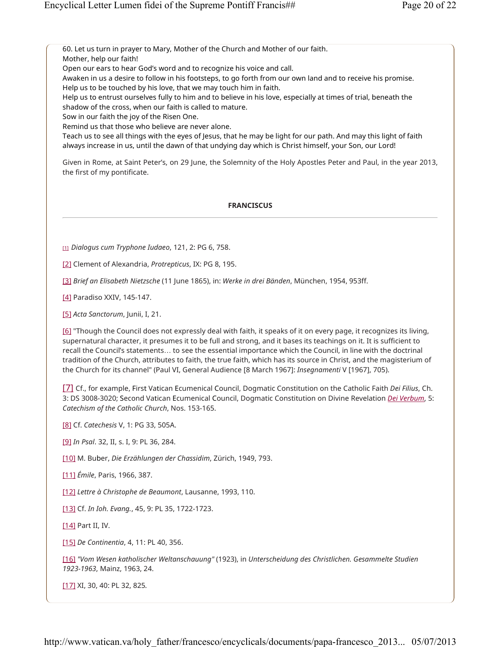60. Let us turn in prayer to Mary, Mother of the Church and Mother of our faith.

Mother, help our faith!

Open our ears to hear God's word and to recognize his voice and call.

Awaken in us a desire to follow in his footsteps, to go forth from our own land and to receive his promise. Help us to be touched by his love, that we may touch him in faith.

Help us to entrust ourselves fully to him and to believe in his love, especially at times of trial, beneath the shadow of the cross, when our faith is called to mature.

Sow in our faith the joy of the Risen One.

Remind us that those who believe are never alone.

Teach us to see all things with the eyes of Jesus, that he may be light for our path. And may this light of faith always increase in us, until the dawn of that undying day which is Christ himself, your Son, our Lord!

Given in Rome, at Saint Peter's, on 29 June, the Solemnity of the Holy Apostles Peter and Paul, in the year 2013, the first of my pontificate.

# **FRANCISCUS**

[1] Dialogus cum Tryphone Iudaeo, 121, 2: PG 6, 758.

[2] Clement of Alexandria, Protrepticus, IX: PG 8, 195.

[3] Brief an Elisabeth Nietzsche (11 June 1865), in: Werke in drei Bänden, München, 1954, 953ff.

[4] Paradiso XXIV, 145-147.

[5] Acta Sanctorum, Junii, I, 21.

[6] "Though the Council does not expressly deal with faith, it speaks of it on every page, it recognizes its living, supernatural character, it presumes it to be full and strong, and it bases its teachings on it. It is sufficient to recall the Council's statements… to see the essential importance which the Council, in line with the doctrinal tradition of the Church, attributes to faith, the true faith, which has its source in Christ, and the magisterium of the Church for its channel" (Paul VI, General Audience [8 March 1967]: Insegnamenti V [1967], 705).

[7] Cf., for example, First Vatican Ecumenical Council, Dogmatic Constitution on the Catholic Faith Dei Filius, Ch. 3: DS 3008-3020; Second Vatican Ecumenical Council, Dogmatic Constitution on Divine Revelation Dei Verbum, 5: Catechism of the Catholic Church, Nos. 153-165.

[8] Cf. Catechesis V, 1: PG 33, 505A.

[9] In Psal. 32, II, s. I, 9: PL 36, 284.

[10] M. Buber, Die Erzählungen der Chassidim, Zürich, 1949, 793.

[11] Émile, Paris, 1966, 387.

[12] Lettre à Christophe de Beaumont, Lausanne, 1993, 110.

[13] Cf. In Ioh. Evang., 45, 9: PL 35, 1722-1723.

[14] Part II, IV.

[15] De Continentia, 4, 11: PL 40, 356.

[16] "Vom Wesen katholischer Weltanschauung" (1923), in Unterscheidung des Christlichen. Gesammelte Studien 1923-1963, Mainz, 1963, 24.

[17] XI, 30, 40: PL 32, 825.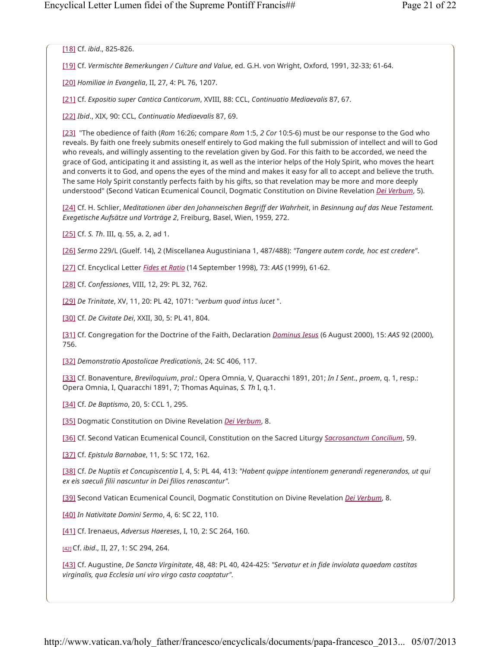[18] Cf. ibid., 825-826.

[19] Cf. Vermischte Bemerkungen / Culture and Value, ed. G.H. von Wright, Oxford, 1991, 32-33; 61-64.

[20] Homiliae in Evangelia, II, 27, 4: PL 76, 1207.

[21] Cf. Expositio super Cantica Canticorum, XVIII, 88: CCL, Continuatio Mediaevalis 87, 67.

[22] Ibid., XIX, 90: CCL, Continuatio Mediaevalis 87, 69.

[23] "The obedience of faith (Rom 16:26; compare Rom 1:5, 2 Cor 10:5-6) must be our response to the God who reveals. By faith one freely submits oneself entirely to God making the full submission of intellect and will to God who reveals, and willingly assenting to the revelation given by God. For this faith to be accorded, we need the grace of God, anticipating it and assisting it, as well as the interior helps of the Holy Spirit, who moves the heart and converts it to God, and opens the eyes of the mind and makes it easy for all to accept and believe the truth. The same Holy Spirit constantly perfects faith by his gifts, so that revelation may be more and more deeply understood" (Second Vatican Ecumenical Council, Dogmatic Constitution on Divine Revelation Dei Verbum, 5).

[24] Cf. H. Schlier, Meditationen über den Johanneischen Begriff der Wahrheit, in Besinnung auf das Neue Testament. Exegetische Aufsätze und Vorträge 2, Freiburg, Basel, Wien, 1959, 272.

[25] Cf. S. Th. III, q. 55, a. 2, ad 1.

[26] Sermo 229/L (Guelf. 14), 2 (Miscellanea Augustiniana 1, 487/488): "Tangere autem corde, hoc est credere".

[27] Cf. Encyclical Letter *Fides et Ratio* (14 September 1998), 73: AAS (1999), 61-62.

[28] Cf. Confessiones, VIII, 12, 29: PL 32, 762.

[29] De Trinitate, XV, 11, 20: PL 42, 1071: "verbum quod intus lucet ".

[30] Cf. De Civitate Dei, XXII, 30, 5: PL 41, 804.

[31] Cf. Congregation for the Doctrine of the Faith, Declaration *Dominus Iesus* (6 August 2000), 15: AAS 92 (2000), 756.

[32] Demonstratio Apostolicae Predicationis, 24: SC 406, 117.

[33] Cf. Bonaventure, Breviloquium, prol.: Opera Omnia, V, Quaracchi 1891, 201; In I Sent., proem, q. 1, resp.: Opera Omnia, I, Quaracchi 1891, 7; Thomas Aquinas, S. Th I, q.1.

[34] Cf. De Baptismo, 20, 5: CCL 1, 295.

[35] Dogmatic Constitution on Divine Revelation Dei Verbum, 8.

[36] Cf. Second Vatican Ecumenical Council, Constitution on the Sacred Liturgy Sacrosanctum Concilium, 59.

[37] Cf. Epistula Barnabae, 11, 5: SC 172, 162.

[38] Cf. De Nuptiis et Concupiscentia I, 4, 5: PL 44, 413: "Habent quippe intentionem generandi regenerandos, ut qui ex eis saeculi filii nascuntur in Dei filios renascantur".

[39] Second Vatican Ecumenical Council, Dogmatic Constitution on Divine Revelation Dei Verbum, 8.

[40] In Nativitate Domini Sermo, 4, 6: SC 22, 110.

[41] Cf. Irenaeus, Adversus Haereses, I, 10, 2: SC 264, 160.

[42] Cf. ibid., II, 27, 1: SC 294, 264.

[43] Cf. Augustine, De Sancta Virginitate, 48, 48: PL 40, 424-425: "Servatur et in fide inviolata quaedam castitas virginalis, qua Ecclesia uni viro virgo casta coaptatur".